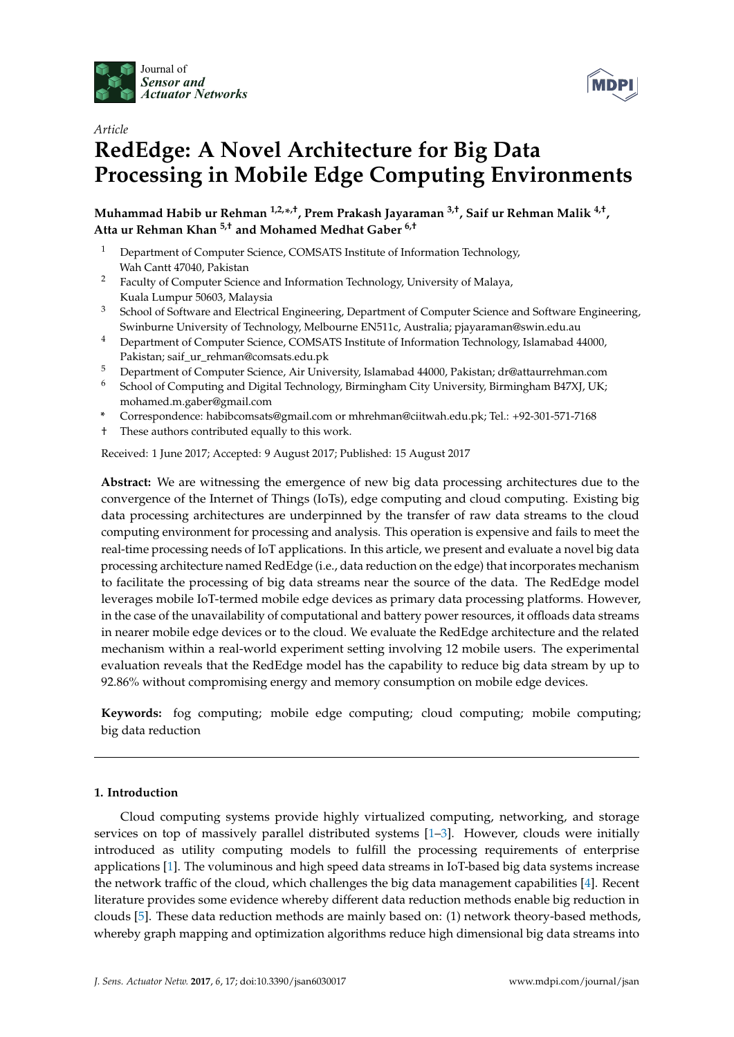



# *Article* **RedEdge: A Novel Architecture for Big Data Processing in Mobile Edge Computing Environments**

**Muhammad Habib ur Rehman 1,2,\* ,†, Prem Prakash Jayaraman 3,†, Saif ur Rehman Malik 4,† , Atta ur Rehman Khan 5,† and Mohamed Medhat Gaber 6,†**

- <sup>1</sup> Department of Computer Science, COMSATS Institute of Information Technology, Wah Cantt 47040, Pakistan
- <sup>2</sup> Faculty of Computer Science and Information Technology, University of Malaya, Kuala Lumpur 50603, Malaysia
- <sup>3</sup> School of Software and Electrical Engineering, Department of Computer Science and Software Engineering, Swinburne University of Technology, Melbourne EN511c, Australia; pjayaraman@swin.edu.au
- <sup>4</sup> Department of Computer Science, COMSATS Institute of Information Technology, Islamabad 44000, Pakistan; saif\_ur\_rehman@comsats.edu.pk
- 5 Department of Computer Science, Air University, Islamabad 44000, Pakistan; dr@attaurrehman.com<br>6 Sobool of Computing and Digital Technology Birmingham City University Birmingham B47YI UK.
- <sup>6</sup> School of Computing and Digital Technology, Birmingham City University, Birmingham B47XJ, UK; mohamed.m.gaber@gmail.com
- **\*** Correspondence: habibcomsats@gmail.com or mhrehman@ciitwah.edu.pk; Tel.: +92-301-571-7168
- † These authors contributed equally to this work.

Received: 1 June 2017; Accepted: 9 August 2017; Published: 15 August 2017

**Abstract:** We are witnessing the emergence of new big data processing architectures due to the convergence of the Internet of Things (IoTs), edge computing and cloud computing. Existing big data processing architectures are underpinned by the transfer of raw data streams to the cloud computing environment for processing and analysis. This operation is expensive and fails to meet the real-time processing needs of IoT applications. In this article, we present and evaluate a novel big data processing architecture named RedEdge (i.e., data reduction on the edge) that incorporates mechanism to facilitate the processing of big data streams near the source of the data. The RedEdge model leverages mobile IoT-termed mobile edge devices as primary data processing platforms. However, in the case of the unavailability of computational and battery power resources, it offloads data streams in nearer mobile edge devices or to the cloud. We evaluate the RedEdge architecture and the related mechanism within a real-world experiment setting involving 12 mobile users. The experimental evaluation reveals that the RedEdge model has the capability to reduce big data stream by up to 92.86% without compromising energy and memory consumption on mobile edge devices.

**Keywords:** fog computing; mobile edge computing; cloud computing; mobile computing; big data reduction

# **1. Introduction**

Cloud computing systems provide highly virtualized computing, networking, and storage services on top of massively parallel distributed systems [1–3]. However, clouds were initially introduced as utility computing models to fulfill the processing requirements of enterprise applications [1]. The voluminous and high speed data streams in IoT-based big data systems increase the network traffic of the cloud, which challenges the big data management capabilities [4]. Recent literature provides some evidence whereby different data reduction methods enable big reduction in clouds [5]. These data reduction methods are mainly based on: (1) network theory-based methods, whereby graph mapping and optimization algorithms reduce high dimensional big data streams into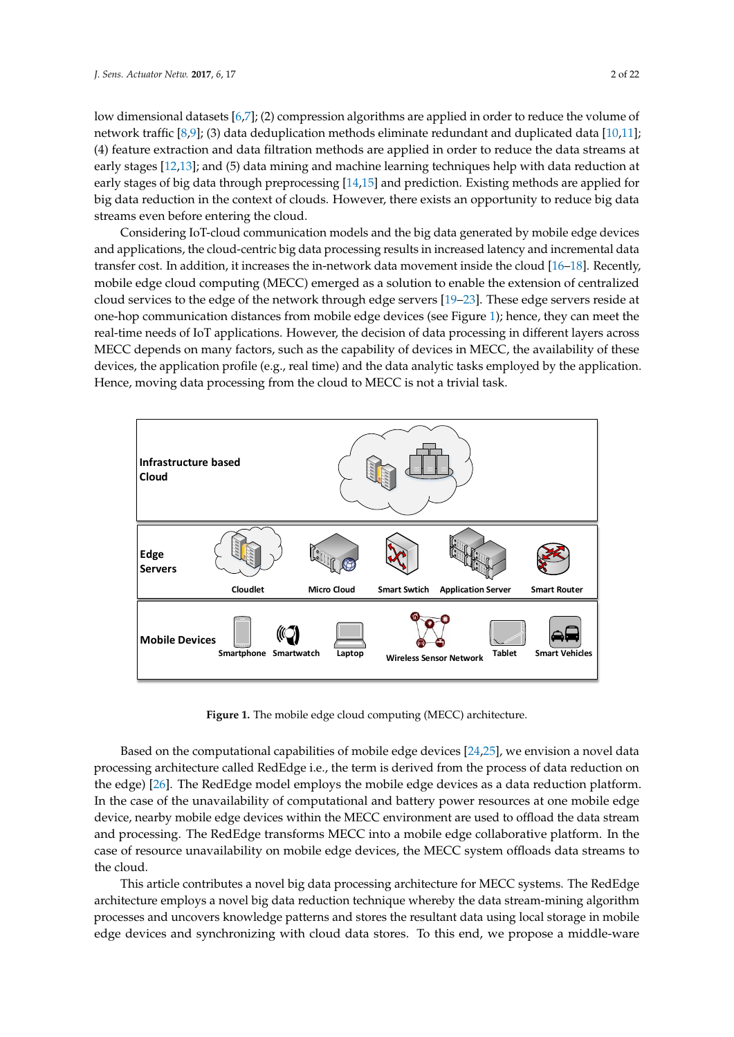low dimensional datasets [6,7]; (2) compression algorithms are applied in order to reduce the volume of network traffic [8,9]; (3) data deduplication methods eliminate redundant and duplicated data [10,11]; (4) feature extraction and data filtration methods are applied in order to reduce the data streams at early stages [12,13]; and (5) data mining and machine learning techniques help with data reduction at early stages of big data through preprocessing [14,15] and prediction. Existing methods are applied for big data reduction in the context of clouds. However, there exists an opportunity to reduce big data streams even before entering the cloud.

Considering IoT-cloud communication models and the big data generated by mobile edge devices and applications, the cloud-centric big data processing results in increased latency and incremental data transfer cost. In addition, it increases the in-network data movement inside the cloud [16–18]. Recently, mobile edge cloud computing (MECC) emerged as a solution to enable the extension of centralized cloud services to the edge of the network through edge servers [19–23]. These edge servers reside at one-hop communication distances from mobile edge devices (see Figure 1); hence, they can meet the real-time needs of IoT applications. However, the decision of data processing in different layers across MECC depends on many factors, such as the capability of devices in MECC, the availability of these devices, the application profile (e.g., real time) and the data analytic tasks employed by the application. Hence, moving data processing from the cloud to MECC is not a trivial task.



**Figure 1.** The mobile edge cloud computing (MECC) architecture.

Based on the computational capabilities of mobile edge devices [24,25], we envision a novel data processing architecture called RedEdge i.e., the term is derived from the process of data reduction on the edge) [26]. The RedEdge model employs the mobile edge devices as a data reduction platform. In the case of the unavailability of computational and battery power resources at one mobile edge device, nearby mobile edge devices within the MECC environment are used to offload the data stream and processing. The RedEdge transforms MECC into a mobile edge collaborative platform. In the case of resource unavailability on mobile edge devices, the MECC system offloads data streams to the cloud.

This article contributes a novel big data processing architecture for MECC systems. The RedEdge architecture employs a novel big data reduction technique whereby the data stream-mining algorithm processes and uncovers knowledge patterns and stores the resultant data using local storage in mobile edge devices and synchronizing with cloud data stores. To this end, we propose a middle-ware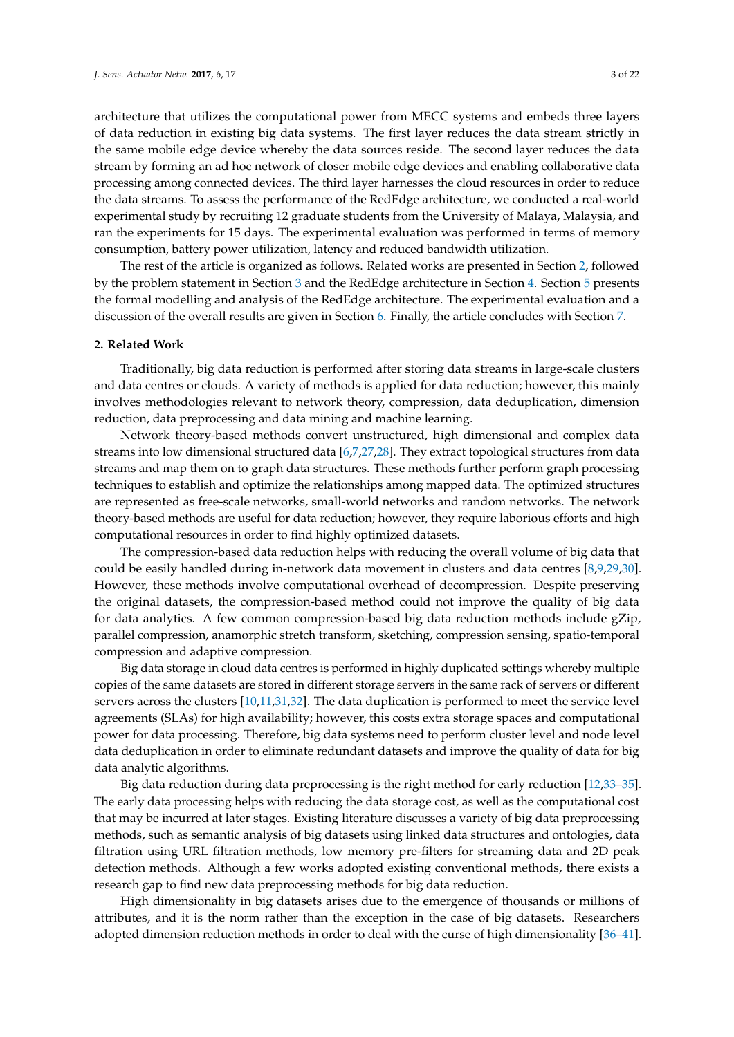architecture that utilizes the computational power from MECC systems and embeds three layers of data reduction in existing big data systems. The first layer reduces the data stream strictly in the same mobile edge device whereby the data sources reside. The second layer reduces the data stream by forming an ad hoc network of closer mobile edge devices and enabling collaborative data processing among connected devices. The third layer harnesses the cloud resources in order to reduce the data streams. To assess the performance of the RedEdge architecture, we conducted a real-world experimental study by recruiting 12 graduate students from the University of Malaya, Malaysia, and ran the experiments for 15 days. The experimental evaluation was performed in terms of memory consumption, battery power utilization, latency and reduced bandwidth utilization.

The rest of the article is organized as follows. Related works are presented in Section 2, followed by the problem statement in Section 3 and the RedEdge architecture in Section 4. Section 5 presents the formal modelling and analysis of the RedEdge architecture. The experimental evaluation and a discussion of the overall results are given in Section 6. Finally, the article concludes with Section 7.

## **2. Related Work**

Traditionally, big data reduction is performed after storing data streams in large-scale clusters and data centres or clouds. A variety of methods is applied for data reduction; however, this mainly involves methodologies relevant to network theory, compression, data deduplication, dimension reduction, data preprocessing and data mining and machine learning.

Network theory-based methods convert unstructured, high dimensional and complex data streams into low dimensional structured data [6,7,27,28]. They extract topological structures from data streams and map them on to graph data structures. These methods further perform graph processing techniques to establish and optimize the relationships among mapped data. The optimized structures are represented as free-scale networks, small-world networks and random networks. The network theory-based methods are useful for data reduction; however, they require laborious efforts and high computational resources in order to find highly optimized datasets.

The compression-based data reduction helps with reducing the overall volume of big data that could be easily handled during in-network data movement in clusters and data centres [8,9,29,30]. However, these methods involve computational overhead of decompression. Despite preserving the original datasets, the compression-based method could not improve the quality of big data for data analytics. A few common compression-based big data reduction methods include gZip, parallel compression, anamorphic stretch transform, sketching, compression sensing, spatio-temporal compression and adaptive compression.

Big data storage in cloud data centres is performed in highly duplicated settings whereby multiple copies of the same datasets are stored in different storage servers in the same rack of servers or different servers across the clusters [10,11,31,32]. The data duplication is performed to meet the service level agreements (SLAs) for high availability; however, this costs extra storage spaces and computational power for data processing. Therefore, big data systems need to perform cluster level and node level data deduplication in order to eliminate redundant datasets and improve the quality of data for big data analytic algorithms.

Big data reduction during data preprocessing is the right method for early reduction [12,33–35]. The early data processing helps with reducing the data storage cost, as well as the computational cost that may be incurred at later stages. Existing literature discusses a variety of big data preprocessing methods, such as semantic analysis of big datasets using linked data structures and ontologies, data filtration using URL filtration methods, low memory pre-filters for streaming data and 2D peak detection methods. Although a few works adopted existing conventional methods, there exists a research gap to find new data preprocessing methods for big data reduction.

High dimensionality in big datasets arises due to the emergence of thousands or millions of attributes, and it is the norm rather than the exception in the case of big datasets. Researchers adopted dimension reduction methods in order to deal with the curse of high dimensionality [36–41].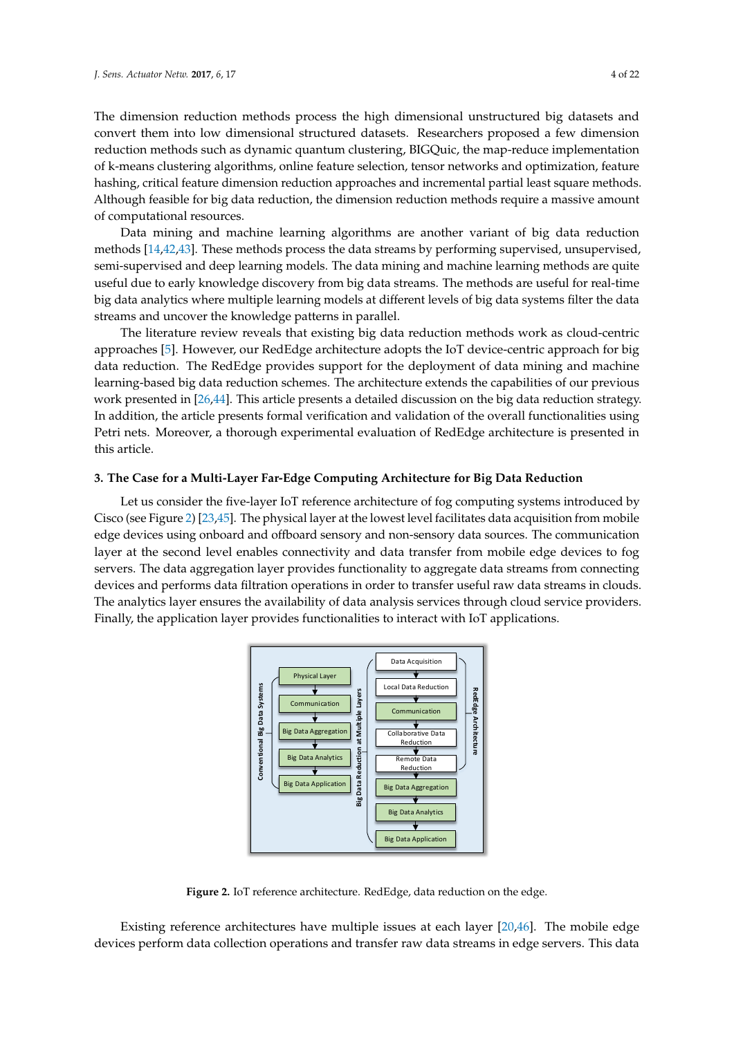The dimension reduction methods process the high dimensional unstructured big datasets and convert them into low dimensional structured datasets. Researchers proposed a few dimension reduction methods such as dynamic quantum clustering, BIGQuic, the map-reduce implementation of k-means clustering algorithms, online feature selection, tensor networks and optimization, feature hashing, critical feature dimension reduction approaches and incremental partial least square methods. Although feasible for big data reduction, the dimension reduction methods require a massive amount of computational resources.

Data mining and machine learning algorithms are another variant of big data reduction methods [14,42,43]. These methods process the data streams by performing supervised, unsupervised, semi-supervised and deep learning models. The data mining and machine learning methods are quite useful due to early knowledge discovery from big data streams. The methods are useful for real-time big data analytics where multiple learning models at different levels of big data systems filter the data streams and uncover the knowledge patterns in parallel.

The literature review reveals that existing big data reduction methods work as cloud-centric approaches [5]. However, our RedEdge architecture adopts the IoT device-centric approach for big data reduction. The RedEdge provides support for the deployment of data mining and machine learning-based big data reduction schemes. The architecture extends the capabilities of our previous work presented in [26,44]. This article presents a detailed discussion on the big data reduction strategy. In addition, the article presents formal verification and validation of the overall functionalities using Petri nets. Moreover, a thorough experimental evaluation of RedEdge architecture is presented in this article.

## **3. The Case for a Multi-Layer Far-Edge Computing Architecture for Big Data Reduction**

Let us consider the five-layer IoT reference architecture of fog computing systems introduced by Cisco (see Figure 2) [23,45]. The physical layer at the lowest level facilitates data acquisition from mobile edge devices using onboard and offboard sensory and non-sensory data sources. The communication layer at the second level enables connectivity and data transfer from mobile edge devices to fog servers. The data aggregation layer provides functionality to aggregate data streams from connecting devices and performs data filtration operations in order to transfer useful raw data streams in clouds. The analytics layer ensures the availability of data analysis services through cloud service providers. Finally, the application layer provides functionalities to interact with IoT applications.



**Figure 2.** IoT reference architecture. RedEdge, data reduction on the edge.

Existing reference architectures have multiple issues at each layer [20,46]. The mobile edge devices perform data collection operations and transfer raw data streams in edge servers. This data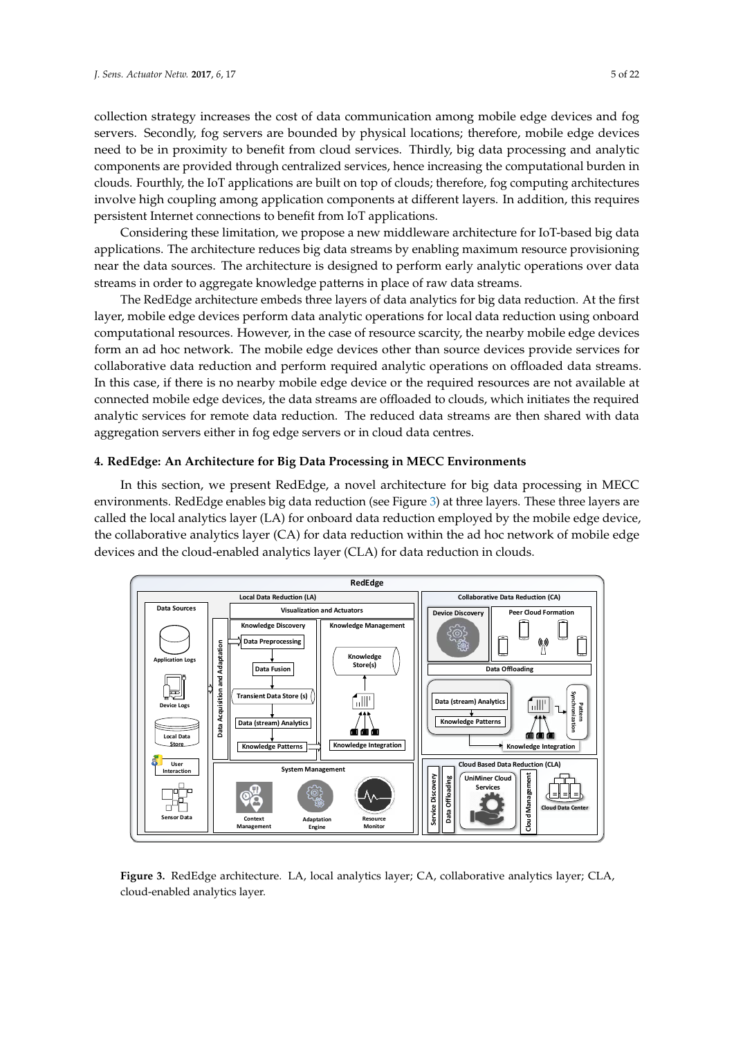collection strategy increases the cost of data communication among mobile edge devices and fog servers. Secondly, fog servers are bounded by physical locations; therefore, mobile edge devices need to be in proximity to benefit from cloud services. Thirdly, big data processing and analytic components are provided through centralized services, hence increasing the computational burden in clouds. Fourthly, the IoT applications are built on top of clouds; therefore, fog computing architectures involve high coupling among application components at different layers. In addition, this requires persistent Internet connections to benefit from IoT applications.

Considering these limitation, we propose a new middleware architecture for IoT-based big data applications. The architecture reduces big data streams by enabling maximum resource provisioning near the data sources. The architecture is designed to perform early analytic operations over data streams in order to aggregate knowledge patterns in place of raw data streams.

The RedEdge architecture embeds three layers of data analytics for big data reduction. At the first layer, mobile edge devices perform data analytic operations for local data reduction using onboard computational resources. However, in the case of resource scarcity, the nearby mobile edge devices form an ad hoc network. The mobile edge devices other than source devices provide services for collaborative data reduction and perform required analytic operations on offloaded data streams. In this case, if there is no nearby mobile edge device or the required resources are not available at connected mobile edge devices, the data streams are offloaded to clouds, which initiates the required analytic services for remote data reduction. The reduced data streams are then shared with data aggregation servers either in fog edge servers or in cloud data centres.

#### **4. RedEdge: An Architecture for Big Data Processing in MECC Environments**

In this section, we present RedEdge, a novel architecture for big data processing in MECC environments. RedEdge enables big data reduction (see Figure 3) at three layers. These three layers are called the local analytics layer (LA) for onboard data reduction employed by the mobile edge device, the collaborative analytics layer (CA) for data reduction within the ad hoc network of mobile edge devices and the cloud-enabled analytics layer (CLA) for data reduction in clouds.



**Figure 3.** RedEdge architecture. LA, local analytics layer; CA, collaborative analytics layer; CLA, cloud-enabled analytics layer.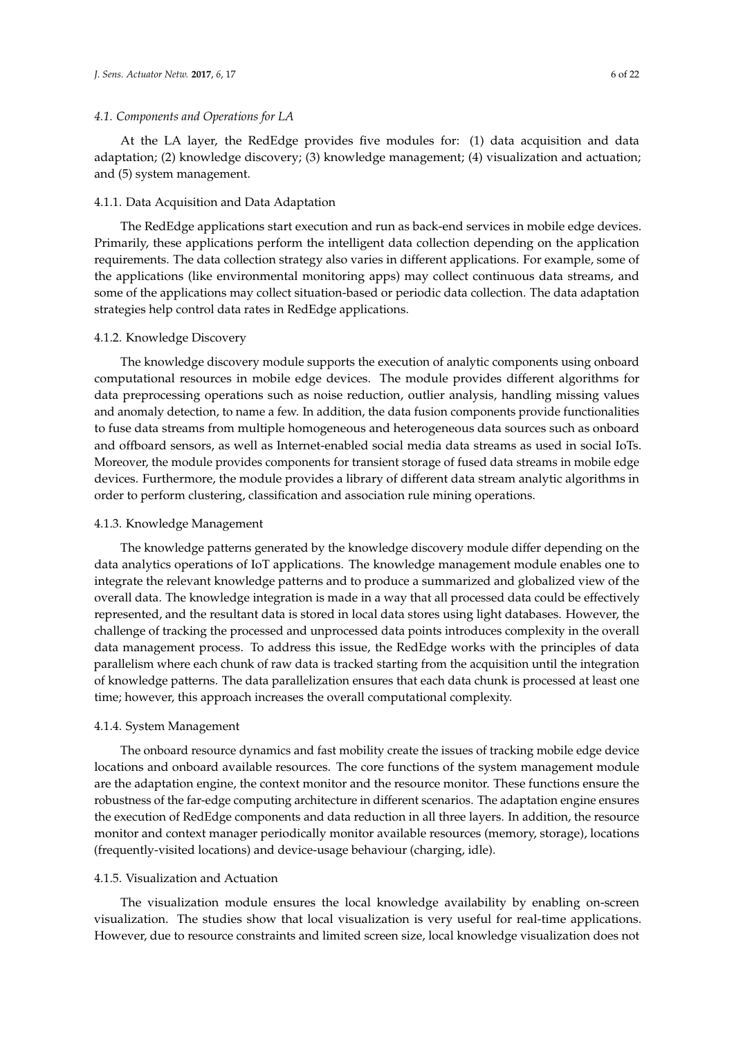#### *4.1. Components and Operations for LA*

At the LA layer, the RedEdge provides five modules for: (1) data acquisition and data adaptation; (2) knowledge discovery; (3) knowledge management; (4) visualization and actuation; and (5) system management.

#### 4.1.1. Data Acquisition and Data Adaptation

The RedEdge applications start execution and run as back-end services in mobile edge devices. Primarily, these applications perform the intelligent data collection depending on the application requirements. The data collection strategy also varies in different applications. For example, some of the applications (like environmental monitoring apps) may collect continuous data streams, and some of the applications may collect situation-based or periodic data collection. The data adaptation strategies help control data rates in RedEdge applications.

#### 4.1.2. Knowledge Discovery

The knowledge discovery module supports the execution of analytic components using onboard computational resources in mobile edge devices. The module provides different algorithms for data preprocessing operations such as noise reduction, outlier analysis, handling missing values and anomaly detection, to name a few. In addition, the data fusion components provide functionalities to fuse data streams from multiple homogeneous and heterogeneous data sources such as onboard and offboard sensors, as well as Internet-enabled social media data streams as used in social IoTs. Moreover, the module provides components for transient storage of fused data streams in mobile edge devices. Furthermore, the module provides a library of different data stream analytic algorithms in order to perform clustering, classification and association rule mining operations.

#### 4.1.3. Knowledge Management

The knowledge patterns generated by the knowledge discovery module differ depending on the data analytics operations of IoT applications. The knowledge management module enables one to integrate the relevant knowledge patterns and to produce a summarized and globalized view of the overall data. The knowledge integration is made in a way that all processed data could be effectively represented, and the resultant data is stored in local data stores using light databases. However, the challenge of tracking the processed and unprocessed data points introduces complexity in the overall data management process. To address this issue, the RedEdge works with the principles of data parallelism where each chunk of raw data is tracked starting from the acquisition until the integration of knowledge patterns. The data parallelization ensures that each data chunk is processed at least one time; however, this approach increases the overall computational complexity.

#### 4.1.4. System Management

The onboard resource dynamics and fast mobility create the issues of tracking mobile edge device locations and onboard available resources. The core functions of the system management module are the adaptation engine, the context monitor and the resource monitor. These functions ensure the robustness of the far-edge computing architecture in different scenarios. The adaptation engine ensures the execution of RedEdge components and data reduction in all three layers. In addition, the resource monitor and context manager periodically monitor available resources (memory, storage), locations (frequently-visited locations) and device-usage behaviour (charging, idle).

#### 4.1.5. Visualization and Actuation

The visualization module ensures the local knowledge availability by enabling on-screen visualization. The studies show that local visualization is very useful for real-time applications. However, due to resource constraints and limited screen size, local knowledge visualization does not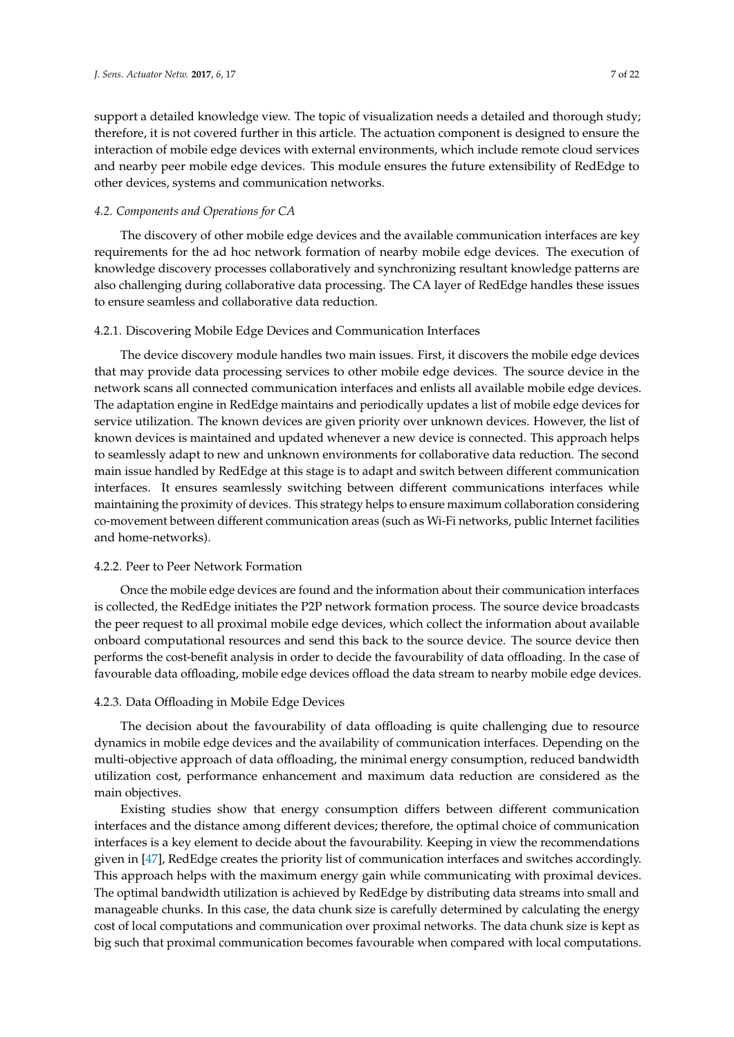support a detailed knowledge view. The topic of visualization needs a detailed and thorough study; therefore, it is not covered further in this article. The actuation component is designed to ensure the interaction of mobile edge devices with external environments, which include remote cloud services and nearby peer mobile edge devices. This module ensures the future extensibility of RedEdge to other devices, systems and communication networks.

## *4.2. Components and Operations for CA*

The discovery of other mobile edge devices and the available communication interfaces are key requirements for the ad hoc network formation of nearby mobile edge devices. The execution of knowledge discovery processes collaboratively and synchronizing resultant knowledge patterns are also challenging during collaborative data processing. The CA layer of RedEdge handles these issues to ensure seamless and collaborative data reduction.

## 4.2.1. Discovering Mobile Edge Devices and Communication Interfaces

The device discovery module handles two main issues. First, it discovers the mobile edge devices that may provide data processing services to other mobile edge devices. The source device in the network scans all connected communication interfaces and enlists all available mobile edge devices. The adaptation engine in RedEdge maintains and periodically updates a list of mobile edge devices for service utilization. The known devices are given priority over unknown devices. However, the list of known devices is maintained and updated whenever a new device is connected. This approach helps to seamlessly adapt to new and unknown environments for collaborative data reduction. The second main issue handled by RedEdge at this stage is to adapt and switch between different communication interfaces. It ensures seamlessly switching between different communications interfaces while maintaining the proximity of devices. This strategy helps to ensure maximum collaboration considering co-movement between different communication areas (such as Wi-Fi networks, public Internet facilities and home-networks).

#### 4.2.2. Peer to Peer Network Formation

Once the mobile edge devices are found and the information about their communication interfaces is collected, the RedEdge initiates the P2P network formation process. The source device broadcasts the peer request to all proximal mobile edge devices, which collect the information about available onboard computational resources and send this back to the source device. The source device then performs the cost-benefit analysis in order to decide the favourability of data offloading. In the case of favourable data offloading, mobile edge devices offload the data stream to nearby mobile edge devices.

## 4.2.3. Data Offloading in Mobile Edge Devices

The decision about the favourability of data offloading is quite challenging due to resource dynamics in mobile edge devices and the availability of communication interfaces. Depending on the multi-objective approach of data offloading, the minimal energy consumption, reduced bandwidth utilization cost, performance enhancement and maximum data reduction are considered as the main objectives.

Existing studies show that energy consumption differs between different communication interfaces and the distance among different devices; therefore, the optimal choice of communication interfaces is a key element to decide about the favourability. Keeping in view the recommendations given in [47], RedEdge creates the priority list of communication interfaces and switches accordingly. This approach helps with the maximum energy gain while communicating with proximal devices. The optimal bandwidth utilization is achieved by RedEdge by distributing data streams into small and manageable chunks. In this case, the data chunk size is carefully determined by calculating the energy cost of local computations and communication over proximal networks. The data chunk size is kept as big such that proximal communication becomes favourable when compared with local computations.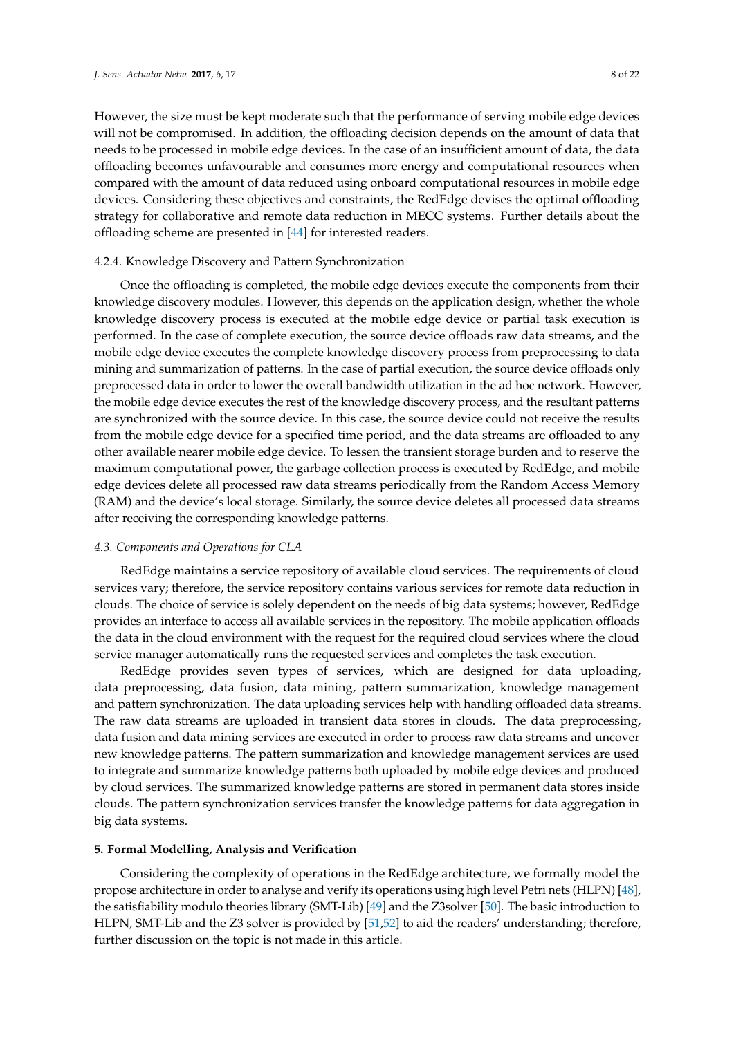However, the size must be kept moderate such that the performance of serving mobile edge devices will not be compromised. In addition, the offloading decision depends on the amount of data that needs to be processed in mobile edge devices. In the case of an insufficient amount of data, the data offloading becomes unfavourable and consumes more energy and computational resources when compared with the amount of data reduced using onboard computational resources in mobile edge devices. Considering these objectives and constraints, the RedEdge devises the optimal offloading strategy for collaborative and remote data reduction in MECC systems. Further details about the offloading scheme are presented in [44] for interested readers.

# 4.2.4. Knowledge Discovery and Pattern Synchronization

Once the offloading is completed, the mobile edge devices execute the components from their knowledge discovery modules. However, this depends on the application design, whether the whole knowledge discovery process is executed at the mobile edge device or partial task execution is performed. In the case of complete execution, the source device offloads raw data streams, and the mobile edge device executes the complete knowledge discovery process from preprocessing to data mining and summarization of patterns. In the case of partial execution, the source device offloads only preprocessed data in order to lower the overall bandwidth utilization in the ad hoc network. However, the mobile edge device executes the rest of the knowledge discovery process, and the resultant patterns are synchronized with the source device. In this case, the source device could not receive the results from the mobile edge device for a specified time period, and the data streams are offloaded to any other available nearer mobile edge device. To lessen the transient storage burden and to reserve the maximum computational power, the garbage collection process is executed by RedEdge, and mobile edge devices delete all processed raw data streams periodically from the Random Access Memory (RAM) and the device's local storage. Similarly, the source device deletes all processed data streams after receiving the corresponding knowledge patterns.

## *4.3. Components and Operations for CLA*

RedEdge maintains a service repository of available cloud services. The requirements of cloud services vary; therefore, the service repository contains various services for remote data reduction in clouds. The choice of service is solely dependent on the needs of big data systems; however, RedEdge provides an interface to access all available services in the repository. The mobile application offloads the data in the cloud environment with the request for the required cloud services where the cloud service manager automatically runs the requested services and completes the task execution.

RedEdge provides seven types of services, which are designed for data uploading, data preprocessing, data fusion, data mining, pattern summarization, knowledge management and pattern synchronization. The data uploading services help with handling offloaded data streams. The raw data streams are uploaded in transient data stores in clouds. The data preprocessing, data fusion and data mining services are executed in order to process raw data streams and uncover new knowledge patterns. The pattern summarization and knowledge management services are used to integrate and summarize knowledge patterns both uploaded by mobile edge devices and produced by cloud services. The summarized knowledge patterns are stored in permanent data stores inside clouds. The pattern synchronization services transfer the knowledge patterns for data aggregation in big data systems.

#### **5. Formal Modelling, Analysis and Verification**

Considering the complexity of operations in the RedEdge architecture, we formally model the propose architecture in order to analyse and verify its operations using high level Petri nets (HLPN) [48], the satisfiability modulo theories library (SMT-Lib) [49] and the Z3solver [50]. The basic introduction to HLPN, SMT-Lib and the Z3 solver is provided by [51,52] to aid the readers' understanding; therefore, further discussion on the topic is not made in this article.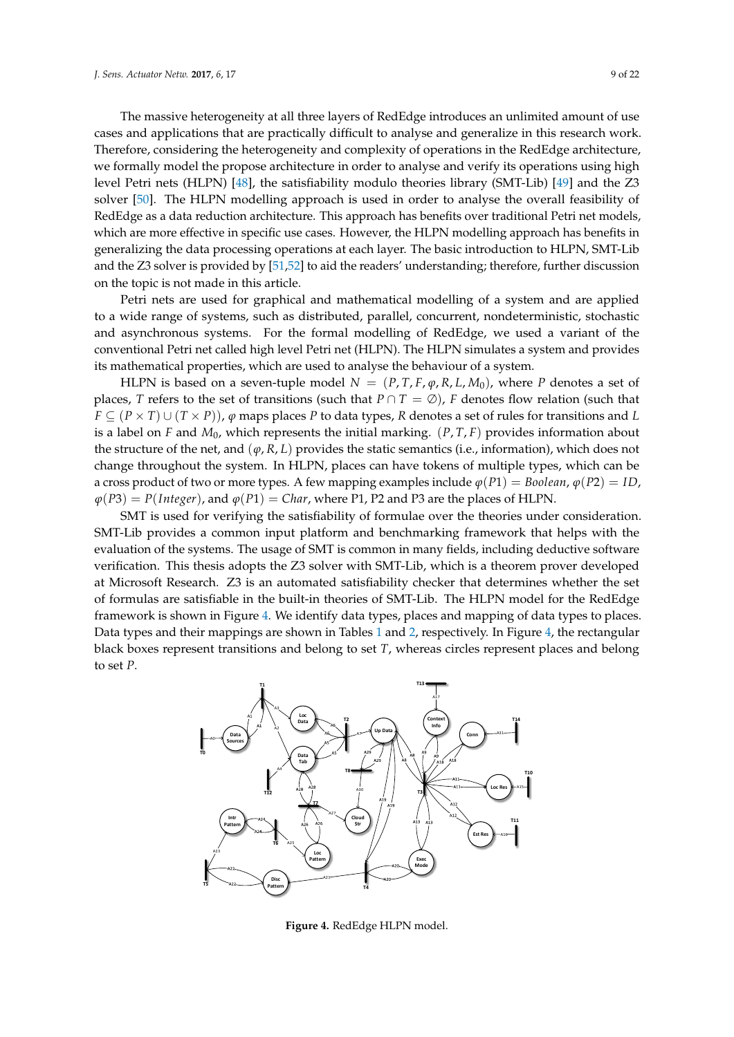The massive heterogeneity at all three layers of RedEdge introduces an unlimited amount of use cases and applications that are practically difficult to analyse and generalize in this research work. Therefore, considering the heterogeneity and complexity of operations in the RedEdge architecture, we formally model the propose architecture in order to analyse and verify its operations using high level Petri nets (HLPN) [48], the satisfiability modulo theories library (SMT-Lib) [49] and the Z3 solver [50]. The HLPN modelling approach is used in order to analyse the overall feasibility of RedEdge as a data reduction architecture. This approach has benefits over traditional Petri net models, which are more effective in specific use cases. However, the HLPN modelling approach has benefits in generalizing the data processing operations at each layer. The basic introduction to HLPN, SMT-Lib and the Z3 solver is provided by [51,52] to aid the readers' understanding; therefore, further discussion on the topic is not made in this article.

Petri nets are used for graphical and mathematical modelling of a system and are applied to a wide range of systems, such as distributed, parallel, concurrent, nondeterministic, stochastic and asynchronous systems. For the formal modelling of RedEdge, we used a variant of the conventional Petri net called high level Petri net (HLPN). The HLPN simulates a system and provides its mathematical properties, which are used to analyse the behaviour of a system.

HLPN is based on a seven-tuple model  $N = (P, T, F, \varphi, R, L, M_0)$ , where P denotes a set of places, *T* refers to the set of transitions (such that  $P \cap T = \emptyset$ ), *F* denotes flow relation (such that  $F \subseteq (P \times T) \cup (T \times P)$ ,  $\varphi$  maps places *P* to data types, *R* denotes a set of rules for transitions and *L* is a label on *F* and *M*0, which represents the initial marking. (*P*, *T*, *F*) provides information about the structure of the net, and  $(\varphi, R, L)$  provides the static semantics (i.e., information), which does not change throughout the system. In HLPN, places can have tokens of multiple types, which can be a cross product of two or more types. A few mapping examples include  $\varphi(P1) = Boolean$ ,  $\varphi(P2) = ID$ ,  $\varphi(P3) = P(Integer)$ , and  $\varphi(P1) = Char$ , where P1, P2 and P3 are the places of HLPN.

SMT is used for verifying the satisfiability of formulae over the theories under consideration. SMT-Lib provides a common input platform and benchmarking framework that helps with the evaluation of the systems. The usage of SMT is common in many fields, including deductive software verification. This thesis adopts the Z3 solver with SMT-Lib, which is a theorem prover developed at Microsoft Research. Z3 is an automated satisfiability checker that determines whether the set of formulas are satisfiable in the built-in theories of SMT-Lib. The HLPN model for the RedEdge framework is shown in Figure 4. We identify data types, places and mapping of data types to places. Data types and their mappings are shown in Tables 1 and 2, respectively. In Figure 4, the rectangular black boxes represent transitions and belong to set *T*, whereas circles represent places and belong to set *P*.



**Figure 4.** RedEdge HLPN model.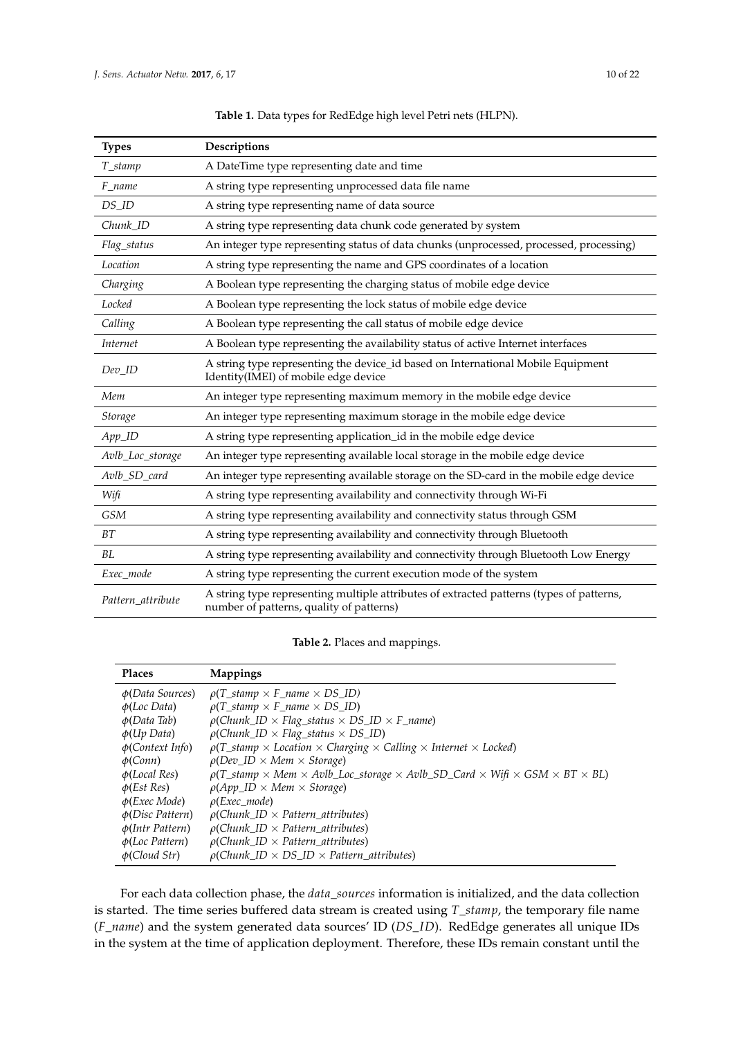$\overline{a}$ 

| <b>Types</b>           | Descriptions                                                                                                                         |
|------------------------|--------------------------------------------------------------------------------------------------------------------------------------|
| T_stamp                | A DateTime type representing date and time                                                                                           |
| F_name                 | A string type representing unprocessed data file name                                                                                |
| DS_ID                  | A string type representing name of data source                                                                                       |
| $Chunk$ <sub>_ID</sub> | A string type representing data chunk code generated by system                                                                       |
| Flag_status            | An integer type representing status of data chunks (unprocessed, processed, processing)                                              |
| Location               | A string type representing the name and GPS coordinates of a location                                                                |
| Charging               | A Boolean type representing the charging status of mobile edge device                                                                |
| Locked                 | A Boolean type representing the lock status of mobile edge device                                                                    |
| Calling                | A Boolean type representing the call status of mobile edge device                                                                    |
| Internet               | A Boolean type representing the availability status of active Internet interfaces                                                    |
| $Dev_$                 | A string type representing the device_id based on International Mobile Equipment<br>Identity(IMEI) of mobile edge device             |
| Mem                    | An integer type representing maximum memory in the mobile edge device                                                                |
| Storage                | An integer type representing maximum storage in the mobile edge device                                                               |
| $App$ <sub>ID</sub>    | A string type representing application_id in the mobile edge device                                                                  |
| Avlb_Loc_storage       | An integer type representing available local storage in the mobile edge device                                                       |
| Avlb_SD_card           | An integer type representing available storage on the SD-card in the mobile edge device                                              |
| Wifi                   | A string type representing availability and connectivity through Wi-Fi                                                               |
| <b>GSM</b>             | A string type representing availability and connectivity status through GSM                                                          |
| BT                     | A string type representing availability and connectivity through Bluetooth                                                           |
| BL                     | A string type representing availability and connectivity through Bluetooth Low Energy                                                |
| Exec_mode              | A string type representing the current execution mode of the system                                                                  |
| Pattern_attribute      | A string type representing multiple attributes of extracted patterns (types of patterns,<br>number of patterns, quality of patterns) |

**Table 1.** Data types for RedEdge high level Petri nets (HLPN).

**Table 2.** Places and mappings.

| <b>Places</b>               | <b>Mappings</b>                                                                                                                          |
|-----------------------------|------------------------------------------------------------------------------------------------------------------------------------------|
| $\phi(Data Sources)$        | $\rho(T\_stamp \times F\_name \times DS\_ID)$                                                                                            |
| $\phi$ (Loc Data)           | $\rho(T\_stamp \times F\_name \times DS\_ID)$                                                                                            |
| $\phi(Data$ Tab)            | $\rho$ (Chunk_ID × Flag_status × DS_ID × F_name)                                                                                         |
| $\phi(Up\ Data)$            | $\rho$ (Chunk ID $\times$ Flag status $\times$ DS ID)                                                                                    |
| $\phi$ (Context Info)       | $\rho(T_{\text{stamp}} \times \text{Location} \times \text{Charging} \times \text{Calling} \times \text{Internet} \times \text{Locked})$ |
| $\phi$ (Conn)               | $\rho(Dev_ID \times Mem \times Storage)$                                                                                                 |
| $\phi$ (Local Res)          | $\rho(T\_stamp \times Mem \times Avlb\_Loc\_storage \times Avlb\_SD\_Card \times Wifi \times GSM \times BT \times BL)$                   |
| $\phi(Est Res)$             | $\rho(App\_ID \times Mem \times Storage)$                                                                                                |
| $\phi$ ( <i>Exec Mode</i> ) | $\rho$ (Exec_mode)                                                                                                                       |
| $\phi(Disc$ Pattern)        | $\rho$ (Chunk ID $\times$ Pattern attributes)                                                                                            |
| $\phi(Intro$ Pattern)       | $\rho$ (Chunk_ID $\times$ Pattern_attributes)                                                                                            |
| $\phi$ (Loc Pattern)        | $\rho$ (Chunk ID $\times$ Pattern attributes)                                                                                            |
| $\phi$ (Cloud Str)          | $\rho$ (Chunk ID $\times$ DS ID $\times$ Pattern attributes)                                                                             |

For each data collection phase, the *data\_sources* information is initialized, and the data collection is started. The time series buffered data stream is created using *T\_stamp*, the temporary file name (*F\_name*) and the system generated data sources' ID (*DS\_ID*). RedEdge generates all unique IDs in the system at the time of application deployment. Therefore, these IDs remain constant until the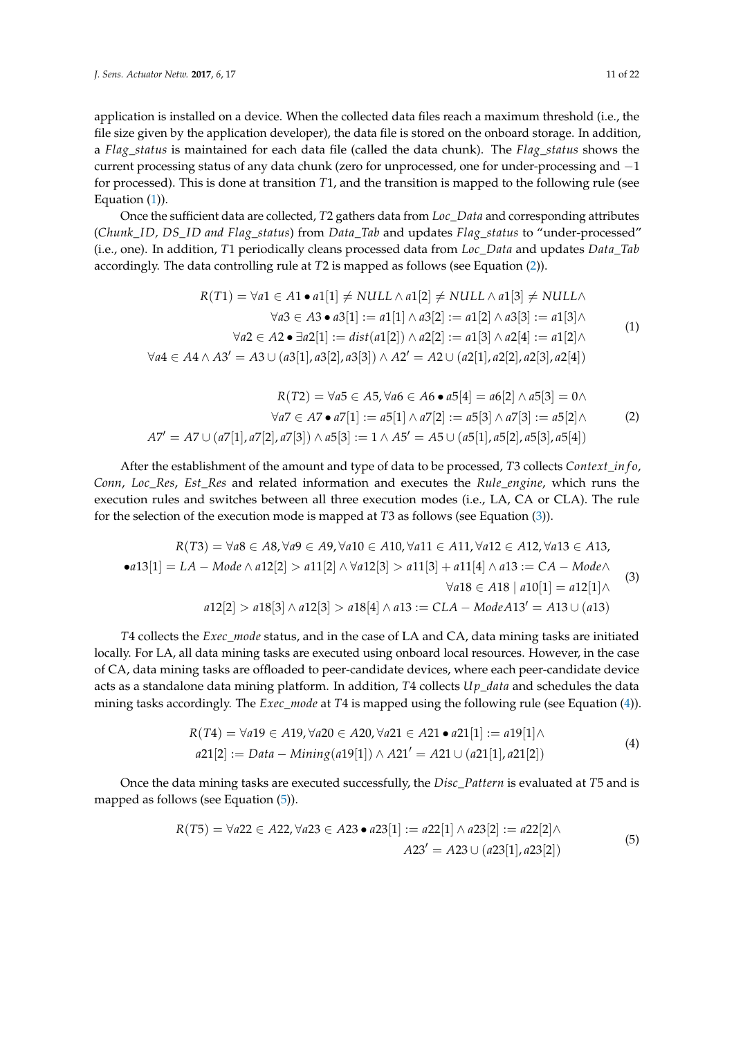application is installed on a device. When the collected data files reach a maximum threshold (i.e., the file size given by the application developer), the data file is stored on the onboard storage. In addition, a *Flag\_status* is maintained for each data file (called the data chunk). The *Flag\_status* shows the current processing status of any data chunk (zero for unprocessed, one for under-processing and −1 for processed). This is done at transition *T*1, and the transition is mapped to the following rule (see Equation (1)).

Once the sufficient data are collected, *T*2 gathers data from *Loc\_Data* and corresponding attributes (*Chunk\_ID, DS\_ID and Flag\_status*) from *Data\_Tab* and updates *Flag\_status* to "under-processed" (i.e., one). In addition, *T*1 periodically cleans processed data from *Loc\_Data* and updates *Data\_Tab* accordingly. The data controlling rule at *T*2 is mapped as follows (see Equation (2)).

$$
R(T1) = \forall a1 \in A1 \bullet a1[1] \neq NULL \land a1[2] \neq NULL \land a1[3] \neq NULL \land a1[4]
$$

$$
\forall a3 \in A3 \bullet a3[1] := a1[1] \land a3[2] := a1[2] \land a3[3] := a1[3] \land \forall a2 \in A2 \bullet \exists a2[1] := dist(a1[2]) \land a2[2] := a1[3] \land a2[4] := a1[2] \land \forall a4 \in A4 \land A3' = A3 \cup (a3[1], a3[2], a3[3]) \land A2' = A2 \cup (a2[1], a2[2], a2[3], a2[4])
$$

$$
(1)
$$

$$
R(T2) = \forall a5 \in A5, \forall a6 \in A6 \bullet a5[4] = a6[2] \land a5[3] = 0 \land \forall a7 \in A7 \bullet a7[1] := a5[1] \land a7[2] := a5[3] \land a7[3] := a5[2] \land A7' = A7 \cup (a7[1], a7[2], a7[3]) \land a5[3] := 1 \land A5' = A5 \cup (a5[1], a5[2], a5[3], a5[4])
$$
\n(2)

After the establishment of the amount and type of data to be processed, *T*3 collects *Context\_in f o*, *Conn*, *Loc\_Res*, *Est\_Res* and related information and executes the *Rule\_engine*, which runs the execution rules and switches between all three execution modes (i.e., LA, CA or CLA). The rule for the selection of the execution mode is mapped at *T*3 as follows (see Equation (3)).

$$
R(T3) = \forall a8 \in A8, \forall a9 \in A9, \forall a10 \in A10, \forall a11 \in A11, \forall a12 \in A12, \forall a13 \in A13,
$$
  
\n• $a13[1] = LA - Mode \land a12[2] > a11[2] \land \forall a12[3] > a11[3] + a11[4] \land a13 := CA - Mode \land \forall a18 \in A18 \mid a10[1] = a12[1] \land \forall a12[2] > a18[3] \land a12[3] > a18[4] \land a13 := CLA - ModeA13' = A13 \cup (a13)$ \n(3)

*T*4 collects the *Exec\_mode* status, and in the case of LA and CA, data mining tasks are initiated locally. For LA, all data mining tasks are executed using onboard local resources. However, in the case of CA, data mining tasks are offloaded to peer-candidate devices, where each peer-candidate device acts as a standalone data mining platform. In addition, *T*4 collects *U p\_data* and schedules the data mining tasks accordingly. The *Exec\_mode* at *T*4 is mapped using the following rule (see Equation (4)).

$$
R(T4) = \forall a19 \in A19, \forall a20 \in A20, \forall a21 \in A21 \bullet a21[1] := a19[1] \land a21[2] := Data - Mining(a19[1]) \land A21' = A21 \cup (a21[1], a21[2])
$$
\n(4)

Once the data mining tasks are executed successfully, the *Disc\_Pattern* is evaluated at *T*5 and is mapped as follows (see Equation (5)).

$$
R(T5) = \forall a22 \in A22, \forall a23 \in A23 \bullet a23[1] := a22[1] \land a23[2] := a22[2] \land A23' = A23 \cup (a23[1], a23[2])
$$
 (5)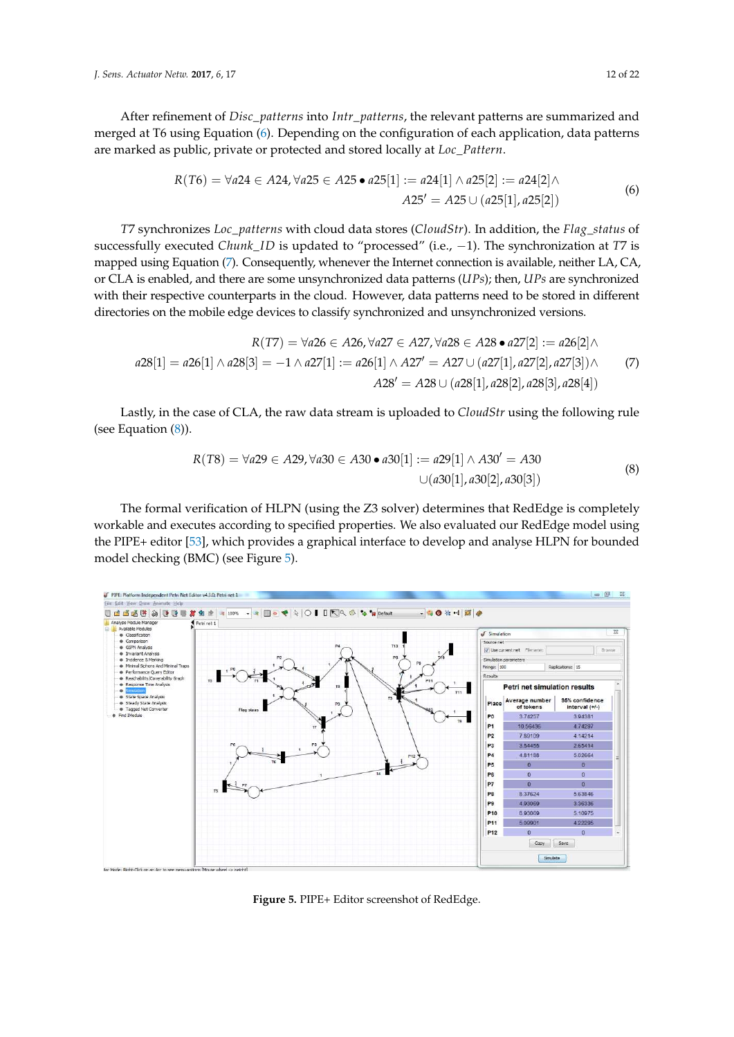After refinement of *Disc\_patterns* into *Intr\_patterns*, the relevant patterns are summarized and merged at T6 using Equation (6). Depending on the configuration of each application, data patterns are marked as public, private or protected and stored locally at *Loc\_Pattern*.

$$
R(T6) = \forall a24 \in A24, \forall a25 \in A25 \bullet a25[1] := a24[1] \land a25[2] := a24[2] \land A25' = A25 \cup (a25[1], a25[2])
$$
 (6)

*T*7 synchronizes *Loc\_patterns* with cloud data stores (*CloudStr*). In addition, the *Flag\_status* of successfully executed *Chunk\_ID* is updated to "processed" (i.e., −1). The synchronization at *T*7 is mapped using Equation (7). Consequently, whenever the Internet connection is available, neither LA, CA, or CLA is enabled, and there are some unsynchronized data patterns (*UPs*); then, *UPs* are synchronized with their respective counterparts in the cloud. However, data patterns need to be stored in different directories on the mobile edge devices to classify synchronized and unsynchronized versions.

$$
R(T7) = \forall a26 \in A26, \forall a27 \in A27, \forall a28 \in A28 \bullet a27[2] := a26[2] \land a28[1] = a26[1] \land a28[3] = -1 \land a27[1] := a26[1] \land A27' = A27 \cup (a27[1], a27[2], a27[3]) \land A28' = A28 \cup (a28[1], a28[2], a28[3], a28[4])
$$
\n
$$
(7)
$$

Lastly, in the case of CLA, the raw data stream is uploaded to *CloudStr* using the following rule (see Equation (8)).

$$
R(T8) = \forall a29 \in A29, \forall a30 \in A30 \bullet a30[1] := a29[1] \land A30' = A30
$$
  

$$
\cup (a30[1], a30[2], a30[3])
$$
 (8)

The formal verification of HLPN (using the Z3 solver) determines that RedEdge is completely workable and executes according to specified properties. We also evaluated our RedEdge model using the PIPE+ editor [53], which provides a graphical interface to develop and analyse HLPN for bounded model checking (BMC) (see Figure 5).



**Figure 5.** PIPE+ Editor screenshot of RedEdge.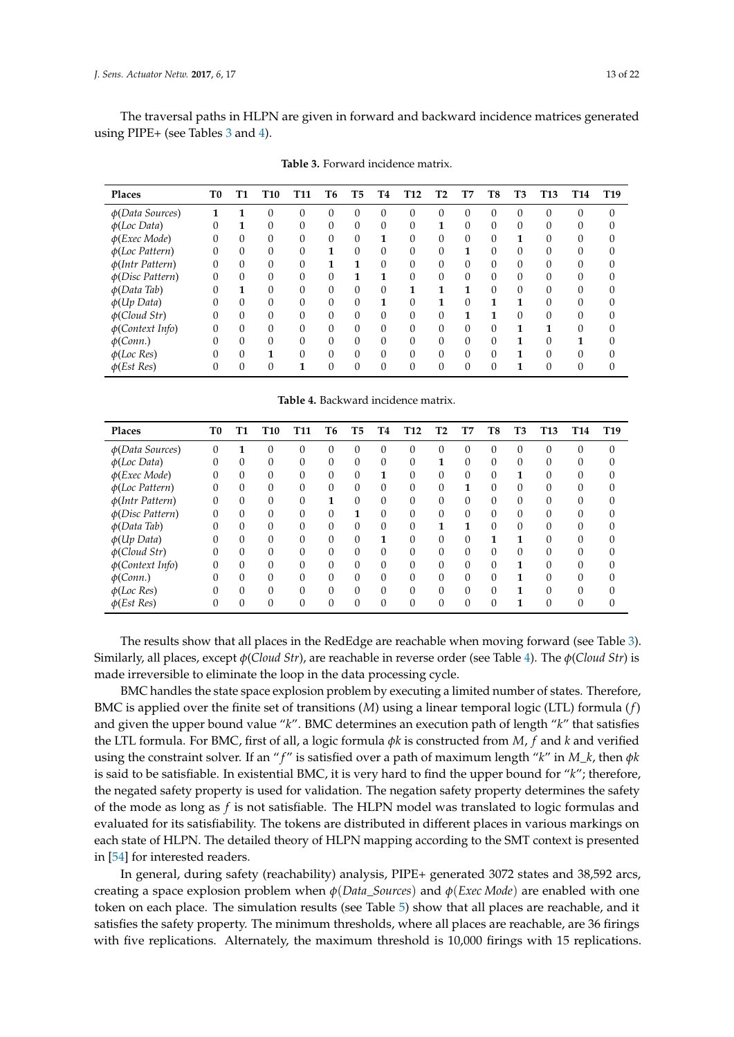The traversal paths in HLPN are given in forward and backward incidence matrices generated using PIPE+ (see Tables 3 and 4).

| Places                | T0 | Т1       | T10      | T11      | Т6 | T5             | Т4       | T <sub>12</sub> | Т2       | T7       | T8       | T3       | <b>T13</b> | T <sub>14</sub> | T <sub>19</sub> |
|-----------------------|----|----------|----------|----------|----|----------------|----------|-----------------|----------|----------|----------|----------|------------|-----------------|-----------------|
| $\phi(Data\ Sources)$ |    |          |          | $\theta$ | 0  | $\theta$       | $\Omega$ | 0               | $\theta$ | 0        | $\Omega$ | $\Omega$ | 0          | 0               | $\Omega$        |
| $\phi$ (Loc Data)     | 0  | 1        | 0        | 0        | 0  | $\Omega$       | $\Omega$ | 0               | 1        | 0        | $\theta$ | $\theta$ | 0          | 0               |                 |
| $\phi$ (Exec Mode)    |    |          |          | 0        | 0  | $\Omega$       |          | 0               | $\Omega$ | 0        | $\Omega$ | 1        | 0          |                 |                 |
| $\phi$ (Loc Pattern)  | 0  | $\Omega$ | $\Omega$ | 0        | 1  | $\Omega$       | $\Omega$ | 0               | $\theta$ | 1        | $\theta$ | $\theta$ | 0          | 0               |                 |
| $\phi(Intro$ Pattern) | 0  |          |          | $\Omega$ | 1  | 1              | $\Omega$ | 0               | $\Omega$ | 0        | $\Omega$ | $\Omega$ | 0          | 0               |                 |
| $\phi(Disc$ Pattern)  | 0  | 0        | $\Omega$ | 0        | 0  | 1              | 1        | $\Omega$        | $\Omega$ | 0        | $\Omega$ | $\Omega$ | 0          | 0               |                 |
| $\phi(Data$ Tab)      |    | 1        |          | 0        | 0  | $\Omega$       | $\Omega$ | 1               | 1        | 1        | $\Omega$ | $\Omega$ | 0          |                 |                 |
| $\phi(Up\ Data)$      |    | $\Omega$ | $\Omega$ | 0        | 0  | $\Omega$       | 1        | $\Omega$        | 1        | $\Omega$ | 1        | 1        | 0          | 0               |                 |
| $\phi$ (Cloud Str)    | 0  | $\Omega$ | $\Omega$ | 0        | 0  | $\overline{0}$ | $\Omega$ | 0               | $\Omega$ | 1        | 1        | $\Omega$ | 0          |                 |                 |
| $\phi$ (Context Info) | 0  | 0        | $\Omega$ | $\Omega$ | 0  | $\Omega$       | $\Omega$ | $\Omega$        | $\Omega$ | 0        | $\Omega$ | 1        | 1          |                 |                 |
| $\phi$ (Conn.)        |    | 0        | 0        | 0        | 0  | $\Omega$       | 0        | 0               | $\Omega$ | 0        | $\Omega$ | 1        | 0          |                 |                 |
| $\phi$ (Loc Res)      |    | 0        | 1        | 0        | 0  | $\Omega$       | $\Omega$ | $\Omega$        | $\Omega$ | $\Omega$ | $\Omega$ | 1        | 0          | 0               |                 |
| $\phi(Est Res)$       |    | 0        | 0        |          | 0  | $\Omega$       | $\Omega$ | 0               | $\Omega$ | 0        | $\Omega$ | 1        | 0          |                 |                 |

**Table 3.** Forward incidence matrix.

**Table 4.** Backward incidence matrix.

| Places                | T0 | Т1       | T <sub>10</sub> | T <sub>11</sub> | T6       | T5       | T4       | <b>T12</b> | T2 | T7       | T8       | T3       | T13      | <b>T14</b> | T <sub>19</sub> |
|-----------------------|----|----------|-----------------|-----------------|----------|----------|----------|------------|----|----------|----------|----------|----------|------------|-----------------|
| $\phi(Data\ Sources)$ | 0  | 1        | $\Omega$        | 0               | $\theta$ | $\theta$ | $\theta$ | 0          | 0  | 0        | 0        | $\Omega$ | $\theta$ | $\theta$   | $\Omega$        |
| $\phi$ (Loc Data)     | 0  | 0        | 0               | 0               | 0        | $\theta$ | 0        | $\theta$   | 1  | 0        | 0        | $\Omega$ | 0        | 0          |                 |
| $\phi$ (Exec Mode)    | 0  | 0        | $\Omega$        | 0               | $\Omega$ | $\Omega$ |          | $\Omega$   | 0  | 0        | $\Omega$ |          | 0        | 0          |                 |
| $\phi$ (Loc Pattern)  | 0  | $\Omega$ | 0               | 0               | 0        | 0        | 0        | 0          | 0  | 1        | 0        | 0        | 0        | 0          |                 |
| $\phi(Intro$ Pattern) | 0  | 0        | $\Omega$        | 0               | 1        | $\Omega$ | $\Omega$ | $\Omega$   | 0  | $\theta$ | 0        | $\Omega$ | $\Omega$ | $\theta$   |                 |
| $\phi(Disc$ Pattern)  | 0  |          | $\Omega$        | $\theta$        | $\Omega$ | 1        | $\Omega$ | $\Omega$   | 0  | 0        | $\Omega$ | $\Omega$ | $\Omega$ | 0          |                 |
| $\phi(Data Tab)$      | 0  | 0        | $\theta$        | 0               | $\theta$ | $\theta$ | $\Omega$ | $\Omega$   | 1  | 1        | $\Omega$ | $\Omega$ | $\Omega$ | 0          |                 |
| $\phi(Up\ Data)$      |    | $\Omega$ | $\Omega$        | $\theta$        | $\Omega$ | $\theta$ | 1        | $\Omega$   | 0  | 0        | 1        | 1        | $\Omega$ | 0          |                 |
| $\phi$ (Cloud Str)    | 0  | 0        | $\Omega$        | 0               | $\theta$ | $\theta$ | 0        | $\Omega$   | 0  | 0        | 0        | $\Omega$ | $\Omega$ | 0          |                 |
| $\phi$ (Context Info) | 0  | 0        | $\Omega$        | $\Omega$        | $\Omega$ | $\Omega$ | $\Omega$ | $\Omega$   | 0  | $\Omega$ | $\Omega$ | 1        | $\Omega$ | 0          |                 |
| $\phi$ (Conn.)        |    | $\Omega$ | 0               | $\Omega$        | 0        | $\theta$ | 0        | $\Omega$   | 0  | 0        | 0        | 1        | $\Omega$ | 0          |                 |
| $\phi$ (Loc Res)      |    | 0        | $\Omega$        | $\Omega$        | $\Omega$ | $\Omega$ | $\Omega$ | $\Omega$   | 0  | 0        | $\Omega$ | 1        | $\Omega$ | 0          |                 |
| $\phi(Est Res)$       |    |          |                 | $\Omega$        | $\Omega$ | $\Omega$ | $\Omega$ | $\Omega$   | 0  | $\Omega$ | 0        | 1        |          |            |                 |

The results show that all places in the RedEdge are reachable when moving forward (see Table 3). Similarly, all places, except *φ*(*Cloud Str*), are reachable in reverse order (see Table 4). The *φ*(*Cloud Str*) is made irreversible to eliminate the loop in the data processing cycle.

BMC handles the state space explosion problem by executing a limited number of states. Therefore, BMC is applied over the finite set of transitions (*M*) using a linear temporal logic (LTL) formula (*f*) and given the upper bound value "*k*". BMC determines an execution path of length "*k*" that satisfies the LTL formula. For BMC, first of all, a logic formula *φk* is constructed from *M*, *f* and *k* and verified using the constraint solver. If an " *f* " is satisfied over a path of maximum length "*k*" in *M*\_*k*, then *φk* is said to be satisfiable. In existential BMC, it is very hard to find the upper bound for "*k*"; therefore, the negated safety property is used for validation. The negation safety property determines the safety of the mode as long as *f* is not satisfiable. The HLPN model was translated to logic formulas and evaluated for its satisfiability. The tokens are distributed in different places in various markings on each state of HLPN. The detailed theory of HLPN mapping according to the SMT context is presented in [54] for interested readers.

In general, during safety (reachability) analysis, PIPE+ generated 3072 states and 38,592 arcs, creating a space explosion problem when *φ*(*Data\_Sources*) and *φ*(*Exec Mode*) are enabled with one token on each place. The simulation results (see Table 5) show that all places are reachable, and it satisfies the safety property. The minimum thresholds, where all places are reachable, are 36 firings with five replications. Alternately, the maximum threshold is 10,000 firings with 15 replications.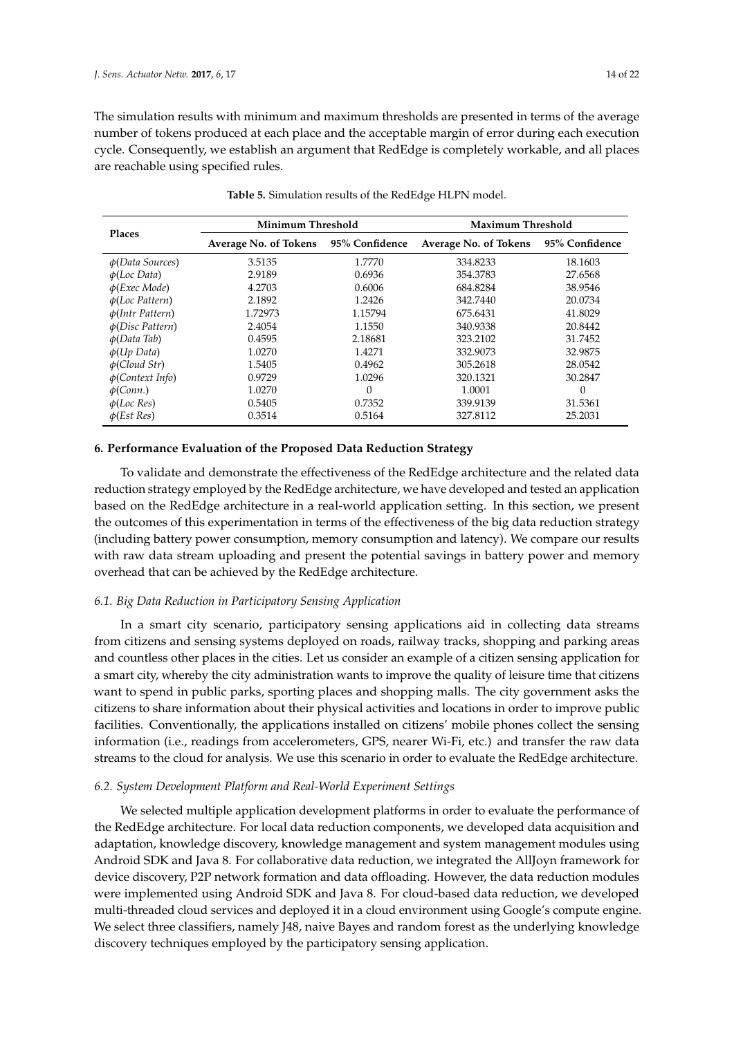The simulation results with minimum and maximum thresholds are presented in terms of the average number of tokens produced at each place and the acceptable margin of error during each execution cycle. Consequently, we establish an argument that RedEdge is completely workable, and all places are reachable using specified rules.

| <b>Places</b>         | Minimum Threshold     |                | Maximum Threshold     |                |  |  |  |
|-----------------------|-----------------------|----------------|-----------------------|----------------|--|--|--|
|                       | Average No. of Tokens | 95% Confidence | Average No. of Tokens | 95% Confidence |  |  |  |
| $\phi(Data\ Sources)$ | 3.5135                | 1.7770         | 334.8233              | 18.1603        |  |  |  |
| $\phi$ (Loc Data)     | 2.9189                | 0.6936         | 354.3783              | 27.6568        |  |  |  |
| $\phi$ (Exec Mode)    | 4.2703                | 0.6006         | 684.8284              | 38.9546        |  |  |  |
| $\phi$ (Loc Pattern)  | 2.1892                | 1.2426         | 342.7440              | 20.0734        |  |  |  |
| $\phi(Intro$ Pattern) | 1.72973               | 1.15794        | 675.6431              | 41.8029        |  |  |  |
| $\phi(Disc$ Pattern)  | 2.4054                | 1.1550         | 340.9338              | 20.8442        |  |  |  |
| $\phi(Data$ Tab)      | 0.4595                | 2.18681        | 323.2102              | 31.7452        |  |  |  |
| $\phi(Up\ Data)$      | 1.0270                | 1.4271         | 332.9073              | 32.9875        |  |  |  |
| $\phi$ (Cloud Str)    | 1.5405                | 0.4962         | 305.2618              | 28.0542        |  |  |  |
| $\phi$ (Context Info) | 0.9729                | 1.0296         | 320.1321              | 30.2847        |  |  |  |
| $\phi$ (Conn.)        | 1.0270                | $\Omega$       | 1.0001                | $\Omega$       |  |  |  |
| $\phi$ (Loc Res)      | 0.5405                | 0.7352         | 339.9139              | 31.5361        |  |  |  |
| $\phi$ (Est Res)      | 0.3514                | 0.5164         | 327.8112              | 25.2031        |  |  |  |

**Table 5.** Simulation results of the RedEdge HLPN model.

#### **6. Performance Evaluation of the Proposed Data Reduction Strategy**

To validate and demonstrate the effectiveness of the RedEdge architecture and the related data reduction strategy employed by the RedEdge architecture, we have developed and tested an application based on the RedEdge architecture in a real-world application setting. In this section, we present the outcomes of this experimentation in terms of the effectiveness of the big data reduction strategy (including battery power consumption, memory consumption and latency). We compare our results with raw data stream uploading and present the potential savings in battery power and memory overhead that can be achieved by the RedEdge architecture.

# *6.1. Big Data Reduction in Participatory Sensing Application*

In a smart city scenario, participatory sensing applications aid in collecting data streams from citizens and sensing systems deployed on roads, railway tracks, shopping and parking areas and countless other places in the cities. Let us consider an example of a citizen sensing application for a smart city, whereby the city administration wants to improve the quality of leisure time that citizens want to spend in public parks, sporting places and shopping malls. The city government asks the citizens to share information about their physical activities and locations in order to improve public facilities. Conventionally, the applications installed on citizens' mobile phones collect the sensing information (i.e., readings from accelerometers, GPS, nearer Wi-Fi, etc.) and transfer the raw data streams to the cloud for analysis. We use this scenario in order to evaluate the RedEdge architecture.

## *6.2. System Development Platform and Real-World Experiment Settings*

We selected multiple application development platforms in order to evaluate the performance of the RedEdge architecture. For local data reduction components, we developed data acquisition and adaptation, knowledge discovery, knowledge management and system management modules using Android SDK and Java 8. For collaborative data reduction, we integrated the AllJoyn framework for device discovery, P2P network formation and data offloading. However, the data reduction modules were implemented using Android SDK and Java 8. For cloud-based data reduction, we developed multi-threaded cloud services and deployed it in a cloud environment using Google's compute engine. We select three classifiers, namely J48, naive Bayes and random forest as the underlying knowledge discovery techniques employed by the participatory sensing application.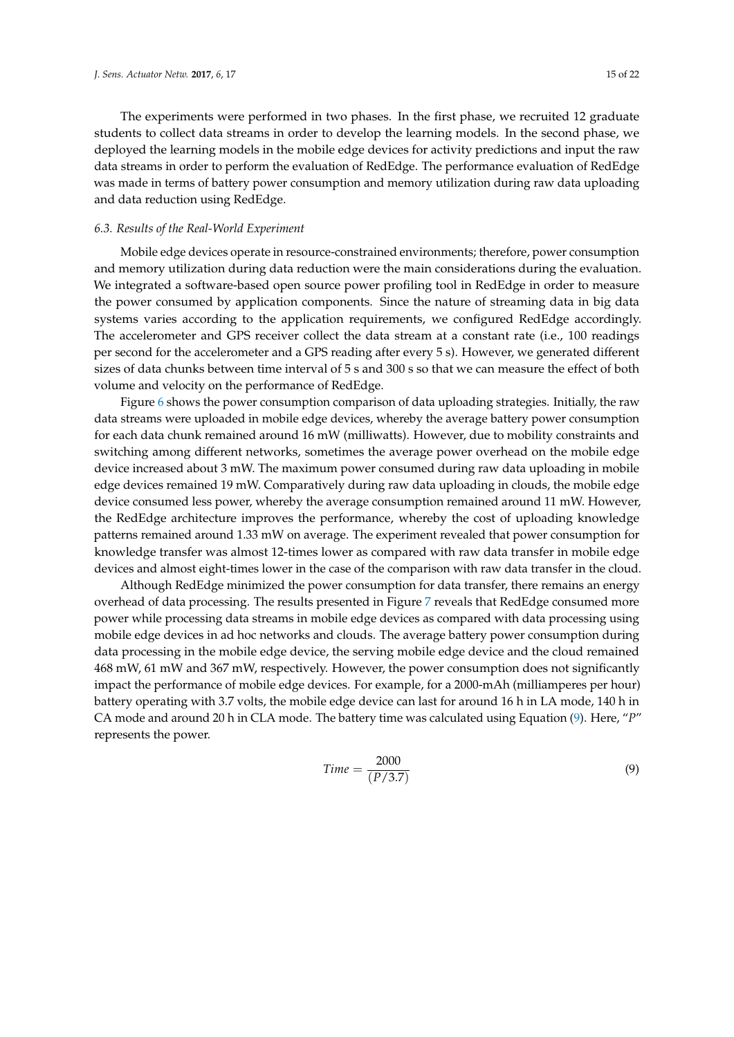The experiments were performed in two phases. In the first phase, we recruited 12 graduate students to collect data streams in order to develop the learning models. In the second phase, we deployed the learning models in the mobile edge devices for activity predictions and input the raw data streams in order to perform the evaluation of RedEdge. The performance evaluation of RedEdge was made in terms of battery power consumption and memory utilization during raw data uploading and data reduction using RedEdge.

# *6.3. Results of the Real-World Experiment*

Mobile edge devices operate in resource-constrained environments; therefore, power consumption and memory utilization during data reduction were the main considerations during the evaluation. We integrated a software-based open source power profiling tool in RedEdge in order to measure the power consumed by application components. Since the nature of streaming data in big data systems varies according to the application requirements, we configured RedEdge accordingly. The accelerometer and GPS receiver collect the data stream at a constant rate (i.e., 100 readings per second for the accelerometer and a GPS reading after every 5 s). However, we generated different sizes of data chunks between time interval of 5 s and 300 s so that we can measure the effect of both volume and velocity on the performance of RedEdge.

Figure 6 shows the power consumption comparison of data uploading strategies. Initially, the raw data streams were uploaded in mobile edge devices, whereby the average battery power consumption for each data chunk remained around 16 mW (milliwatts). However, due to mobility constraints and switching among different networks, sometimes the average power overhead on the mobile edge device increased about 3 mW. The maximum power consumed during raw data uploading in mobile edge devices remained 19 mW. Comparatively during raw data uploading in clouds, the mobile edge device consumed less power, whereby the average consumption remained around 11 mW. However, the RedEdge architecture improves the performance, whereby the cost of uploading knowledge patterns remained around 1.33 mW on average. The experiment revealed that power consumption for knowledge transfer was almost 12-times lower as compared with raw data transfer in mobile edge devices and almost eight-times lower in the case of the comparison with raw data transfer in the cloud.

Although RedEdge minimized the power consumption for data transfer, there remains an energy overhead of data processing. The results presented in Figure 7 reveals that RedEdge consumed more power while processing data streams in mobile edge devices as compared with data processing using mobile edge devices in ad hoc networks and clouds. The average battery power consumption during data processing in the mobile edge device, the serving mobile edge device and the cloud remained 468 mW, 61 mW and 367 mW, respectively. However, the power consumption does not significantly impact the performance of mobile edge devices. For example, for a 2000-mAh (milliamperes per hour) battery operating with 3.7 volts, the mobile edge device can last for around 16 h in LA mode, 140 h in CA mode and around 20 h in CLA mode. The battery time was calculated using Equation (9). Here, "*P*" represents the power.

$$
Time = \frac{2000}{(P/3.7)}\tag{9}
$$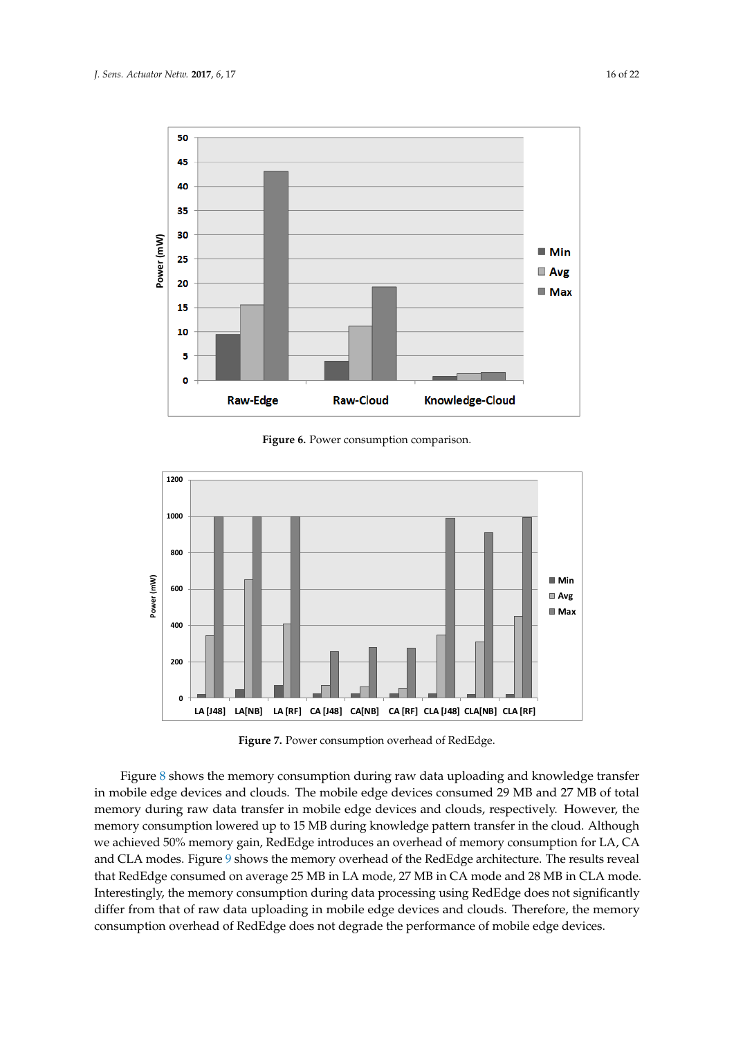

**Figure 6.** Power consumption comparison.



**Figure 7.** Power consumption overhead of RedEdge.

Figure 8 shows the memory consumption during raw data uploading and knowledge transfer in mobile edge devices and clouds. The mobile edge devices consumed 29 MB and 27 MB of total memory during raw data transfer in mobile edge devices and clouds, respectively. However, the memory consumption lowered up to 15 MB during knowledge pattern transfer in the cloud. Although we achieved 50% memory gain, RedEdge introduces an overhead of memory consumption for LA, CA and CLA modes. Figure 9 shows the memory overhead of the RedEdge architecture. The results reveal that RedEdge consumed on average 25 MB in LA mode, 27 MB in CA mode and 28 MB in CLA mode. Interestingly, the memory consumption during data processing using RedEdge does not significantly differ from that of raw data uploading in mobile edge devices and clouds. Therefore, the memory consumption overhead of RedEdge does not degrade the performance of mobile edge devices.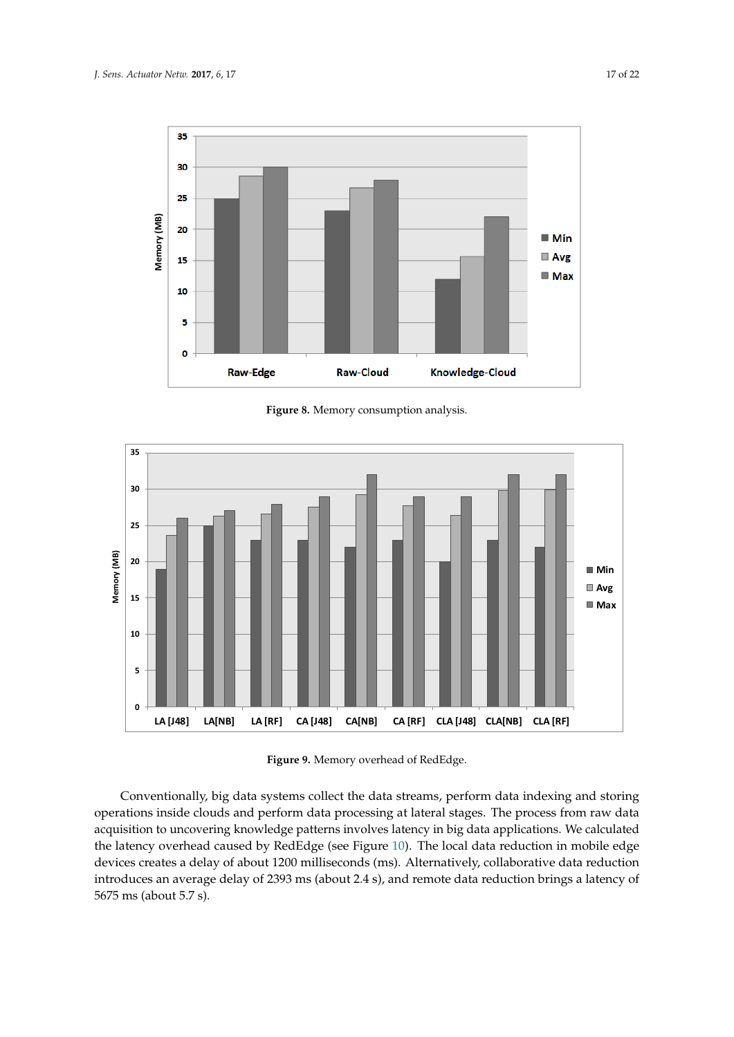

**Figure 8.** Memory consumption analysis.



**Figure 9.** Memory overhead of RedEdge.

Conventionally, big data systems collect the data streams, perform data indexing and storing operations inside clouds and perform data processing at lateral stages. The process from raw data acquisition to uncovering knowledge patterns involves latency in big data applications. We calculated the latency overhead caused by RedEdge (see Figure 10). The local data reduction in mobile edge devices creates a delay of about 1200 milliseconds (ms). Alternatively, collaborative data reduction introduces an average delay of 2393 ms (about 2.4 s), and remote data reduction brings a latency of 5675 ms (about 5.7 s).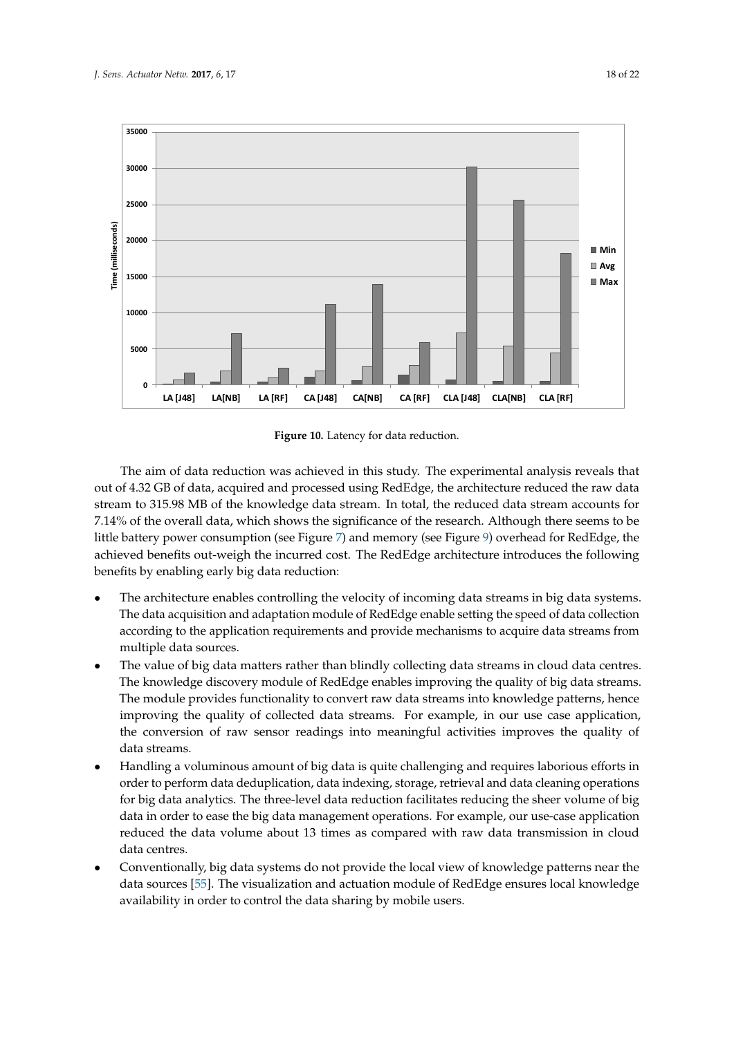

**Figure 10.** Latency for data reduction.

The aim of data reduction was achieved in this study. The experimental analysis reveals that out of 4.32 GB of data, acquired and processed using RedEdge, the architecture reduced the raw data stream to 315.98 MB of the knowledge data stream. In total, the reduced data stream accounts for 7.14% of the overall data, which shows the significance of the research. Although there seems to be little battery power consumption (see Figure 7) and memory (see Figure 9) overhead for RedEdge, the achieved benefits out-weigh the incurred cost. The RedEdge architecture introduces the following benefits by enabling early big data reduction:

- The architecture enables controlling the velocity of incoming data streams in big data systems. The data acquisition and adaptation module of RedEdge enable setting the speed of data collection according to the application requirements and provide mechanisms to acquire data streams from multiple data sources.
- The value of big data matters rather than blindly collecting data streams in cloud data centres. The knowledge discovery module of RedEdge enables improving the quality of big data streams. The module provides functionality to convert raw data streams into knowledge patterns, hence improving the quality of collected data streams. For example, in our use case application, the conversion of raw sensor readings into meaningful activities improves the quality of data streams.
- Handling a voluminous amount of big data is quite challenging and requires laborious efforts in order to perform data deduplication, data indexing, storage, retrieval and data cleaning operations for big data analytics. The three-level data reduction facilitates reducing the sheer volume of big data in order to ease the big data management operations. For example, our use-case application reduced the data volume about 13 times as compared with raw data transmission in cloud data centres.
- Conventionally, big data systems do not provide the local view of knowledge patterns near the data sources [55]. The visualization and actuation module of RedEdge ensures local knowledge availability in order to control the data sharing by mobile users.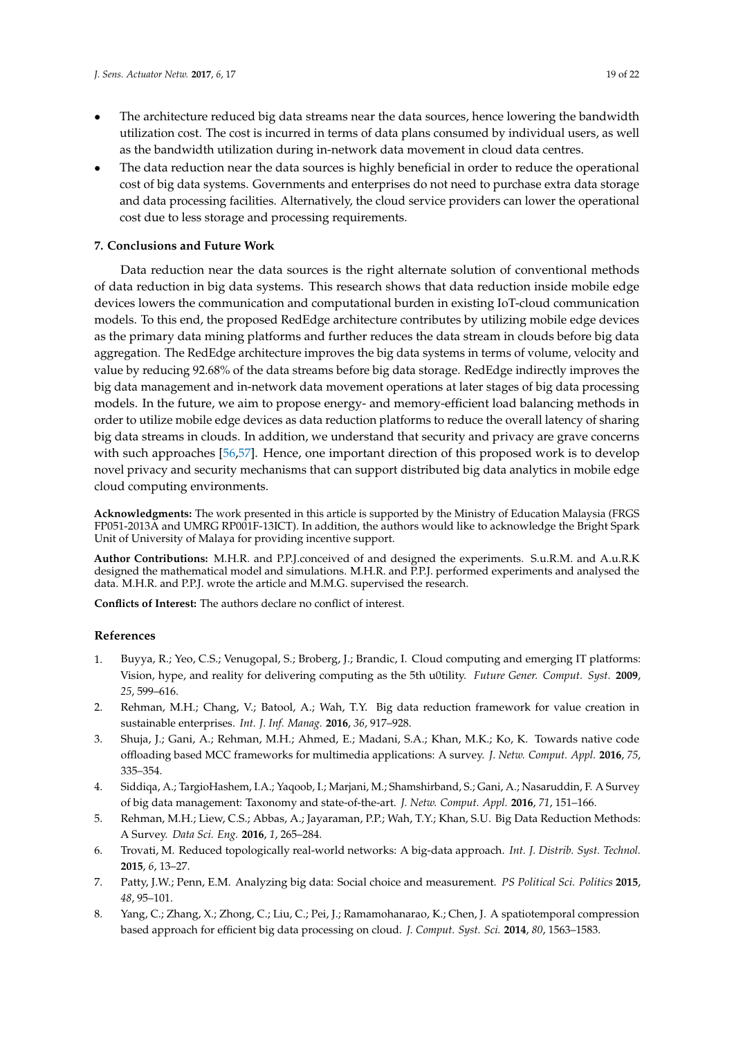- The architecture reduced big data streams near the data sources, hence lowering the bandwidth utilization cost. The cost is incurred in terms of data plans consumed by individual users, as well as the bandwidth utilization during in-network data movement in cloud data centres.
- The data reduction near the data sources is highly beneficial in order to reduce the operational cost of big data systems. Governments and enterprises do not need to purchase extra data storage and data processing facilities. Alternatively, the cloud service providers can lower the operational cost due to less storage and processing requirements.

# **7. Conclusions and Future Work**

Data reduction near the data sources is the right alternate solution of conventional methods of data reduction in big data systems. This research shows that data reduction inside mobile edge devices lowers the communication and computational burden in existing IoT-cloud communication models. To this end, the proposed RedEdge architecture contributes by utilizing mobile edge devices as the primary data mining platforms and further reduces the data stream in clouds before big data aggregation. The RedEdge architecture improves the big data systems in terms of volume, velocity and value by reducing 92.68% of the data streams before big data storage. RedEdge indirectly improves the big data management and in-network data movement operations at later stages of big data processing models. In the future, we aim to propose energy- and memory-efficient load balancing methods in order to utilize mobile edge devices as data reduction platforms to reduce the overall latency of sharing big data streams in clouds. In addition, we understand that security and privacy are grave concerns with such approaches [56,57]. Hence, one important direction of this proposed work is to develop novel privacy and security mechanisms that can support distributed big data analytics in mobile edge cloud computing environments.

**Acknowledgments:** The work presented in this article is supported by the Ministry of Education Malaysia (FRGS FP051-2013A and UMRG RP001F-13ICT). In addition, the authors would like to acknowledge the Bright Spark Unit of University of Malaya for providing incentive support.

**Author Contributions:** M.H.R. and P.P.J.conceived of and designed the experiments. S.u.R.M. and A.u.R.K designed the mathematical model and simulations. M.H.R. and P.P.J. performed experiments and analysed the data. M.H.R. and P.P.J. wrote the article and M.M.G. supervised the research.

**Conflicts of Interest:** The authors declare no conflict of interest.

# **References**

- 1. Buyya, R.; Yeo, C.S.; Venugopal, S.; Broberg, J.; Brandic, I. Cloud computing and emerging IT platforms: Vision, hype, and reality for delivering computing as the 5th u0tility. *Future Gener. Comput. Syst.* **2009**, *25*, 599–616.
- 2. Rehman, M.H.; Chang, V.; Batool, A.; Wah, T.Y. Big data reduction framework for value creation in sustainable enterprises. *Int. J. Inf. Manag.* **2016**, *36*, 917–928.
- 3. Shuja, J.; Gani, A.; Rehman, M.H.; Ahmed, E.; Madani, S.A.; Khan, M.K.; Ko, K. Towards native code offloading based MCC frameworks for multimedia applications: A survey. *J. Netw. Comput. Appl.* **2016**, *75*, 335–354.
- 4. Siddiqa, A.; TargioHashem, I.A.; Yaqoob, I.; Marjani, M.; Shamshirband, S.; Gani, A.; Nasaruddin, F. A Survey of big data management: Taxonomy and state-of-the-art. *J. Netw. Comput. Appl.* **2016**, *71*, 151–166.
- 5. Rehman, M.H.; Liew, C.S.; Abbas, A.; Jayaraman, P.P.; Wah, T.Y.; Khan, S.U. Big Data Reduction Methods: A Survey. *Data Sci. Eng.* **2016**, *1*, 265–284.
- 6. Trovati, M. Reduced topologically real-world networks: A big-data approach. *Int. J. Distrib. Syst. Technol.* **2015**, *6*, 13–27.
- 7. Patty, J.W.; Penn, E.M. Analyzing big data: Social choice and measurement. *PS Political Sci. Politics* **2015**, *48*, 95–101.
- 8. Yang, C.; Zhang, X.; Zhong, C.; Liu, C.; Pei, J.; Ramamohanarao, K.; Chen, J. A spatiotemporal compression based approach for efficient big data processing on cloud. *J. Comput. Syst. Sci.* **2014**, *80*, 1563–1583.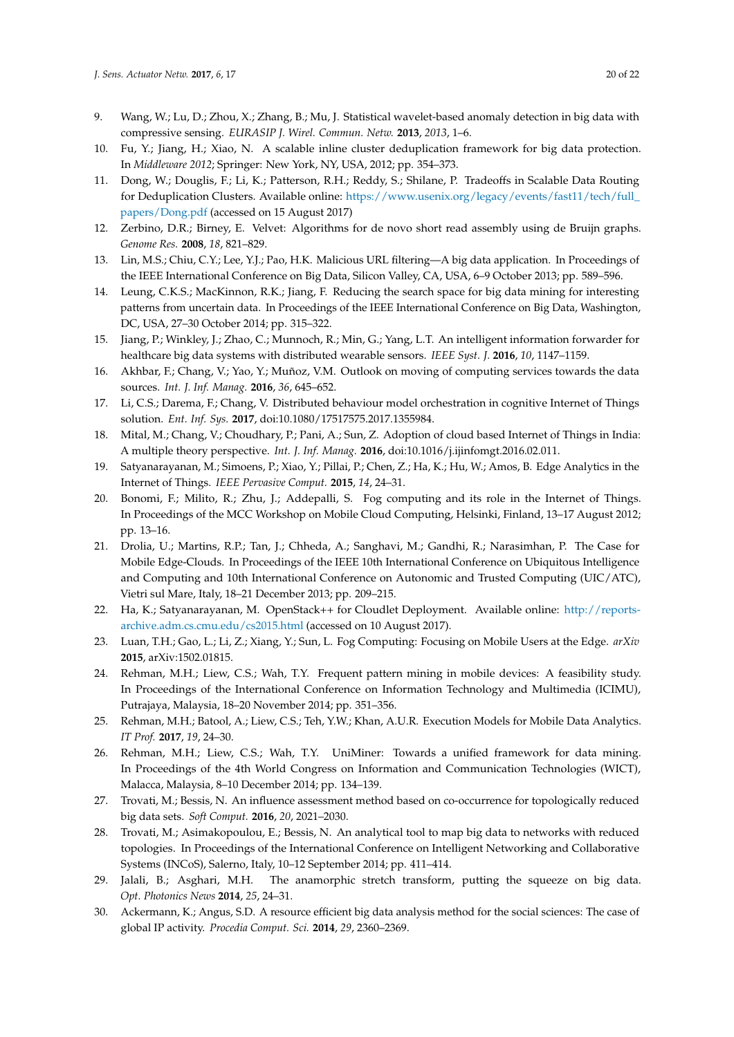- 9. Wang, W.; Lu, D.; Zhou, X.; Zhang, B.; Mu, J. Statistical wavelet-based anomaly detection in big data with compressive sensing. *EURASIP J. Wirel. Commun. Netw.* **2013**, *2013*, 1–6.
- 10. Fu, Y.; Jiang, H.; Xiao, N. A scalable inline cluster deduplication framework for big data protection. In *Middleware 2012*; Springer: New York, NY, USA, 2012; pp. 354–373.
- 11. Dong, W.; Douglis, F.; Li, K.; Patterson, R.H.; Reddy, S.; Shilane, P. Tradeoffs in Scalable Data Routing for Deduplication Clusters. Available online: https://www.usenix.org/legacy/events/fast11/tech/full\_ papers/Dong.pdf (accessed on 15 August 2017)
- 12. Zerbino, D.R.; Birney, E. Velvet: Algorithms for de novo short read assembly using de Bruijn graphs. *Genome Res.* **2008**, *18*, 821–829.
- 13. Lin, M.S.; Chiu, C.Y.; Lee, Y.J.; Pao, H.K. Malicious URL filtering—A big data application. In Proceedings of the IEEE International Conference on Big Data, Silicon Valley, CA, USA, 6–9 October 2013; pp. 589–596.
- 14. Leung, C.K.S.; MacKinnon, R.K.; Jiang, F. Reducing the search space for big data mining for interesting patterns from uncertain data. In Proceedings of the IEEE International Conference on Big Data, Washington, DC, USA, 27–30 October 2014; pp. 315–322.
- 15. Jiang, P.; Winkley, J.; Zhao, C.; Munnoch, R.; Min, G.; Yang, L.T. An intelligent information forwarder for healthcare big data systems with distributed wearable sensors. *IEEE Syst. J.* **2016**, *10*, 1147–1159.
- 16. Akhbar, F.; Chang, V.; Yao, Y.; Muñoz, V.M. Outlook on moving of computing services towards the data sources. *Int. J. Inf. Manag.* **2016**, *36*, 645–652.
- 17. Li, C.S.; Darema, F.; Chang, V. Distributed behaviour model orchestration in cognitive Internet of Things solution. *Ent. Inf. Sys.* **2017**, doi:10.1080/17517575.2017.1355984.
- 18. Mital, M.; Chang, V.; Choudhary, P.; Pani, A.; Sun, Z. Adoption of cloud based Internet of Things in India: A multiple theory perspective. *Int. J. Inf. Manag.* **2016**, doi:10.1016/j.ijinfomgt.2016.02.011.
- 19. Satyanarayanan, M.; Simoens, P.; Xiao, Y.; Pillai, P.; Chen, Z.; Ha, K.; Hu, W.; Amos, B. Edge Analytics in the Internet of Things. *IEEE Pervasive Comput.* **2015**, *14*, 24–31.
- 20. Bonomi, F.; Milito, R.; Zhu, J.; Addepalli, S. Fog computing and its role in the Internet of Things. In Proceedings of the MCC Workshop on Mobile Cloud Computing, Helsinki, Finland, 13–17 August 2012; pp. 13–16.
- 21. Drolia, U.; Martins, R.P.; Tan, J.; Chheda, A.; Sanghavi, M.; Gandhi, R.; Narasimhan, P. The Case for Mobile Edge-Clouds. In Proceedings of the IEEE 10th International Conference on Ubiquitous Intelligence and Computing and 10th International Conference on Autonomic and Trusted Computing (UIC/ATC), Vietri sul Mare, Italy, 18–21 December 2013; pp. 209–215.
- 22. Ha, K.; Satyanarayanan, M. OpenStack++ for Cloudlet Deployment. Available online: http://reportsarchive.adm.cs.cmu.edu/cs2015.html (accessed on 10 August 2017).
- 23. Luan, T.H.; Gao, L.; Li, Z.; Xiang, Y.; Sun, L. Fog Computing: Focusing on Mobile Users at the Edge. *arXiv* **2015**, arXiv:1502.01815.
- 24. Rehman, M.H.; Liew, C.S.; Wah, T.Y. Frequent pattern mining in mobile devices: A feasibility study. In Proceedings of the International Conference on Information Technology and Multimedia (ICIMU), Putrajaya, Malaysia, 18–20 November 2014; pp. 351–356.
- 25. Rehman, M.H.; Batool, A.; Liew, C.S.; Teh, Y.W.; Khan, A.U.R. Execution Models for Mobile Data Analytics. *IT Prof.* **2017**, *19*, 24–30.
- 26. Rehman, M.H.; Liew, C.S.; Wah, T.Y. UniMiner: Towards a unified framework for data mining. In Proceedings of the 4th World Congress on Information and Communication Technologies (WICT), Malacca, Malaysia, 8–10 December 2014; pp. 134–139.
- 27. Trovati, M.; Bessis, N. An influence assessment method based on co-occurrence for topologically reduced big data sets. *Soft Comput.* **2016**, *20*, 2021–2030.
- 28. Trovati, M.; Asimakopoulou, E.; Bessis, N. An analytical tool to map big data to networks with reduced topologies. In Proceedings of the International Conference on Intelligent Networking and Collaborative Systems (INCoS), Salerno, Italy, 10–12 September 2014; pp. 411–414.
- 29. Jalali, B.; Asghari, M.H. The anamorphic stretch transform, putting the squeeze on big data. *Opt. Photonics News* **2014**, *25*, 24–31.
- 30. Ackermann, K.; Angus, S.D. A resource efficient big data analysis method for the social sciences: The case of global IP activity. *Procedia Comput. Sci.* **2014**, *29*, 2360–2369.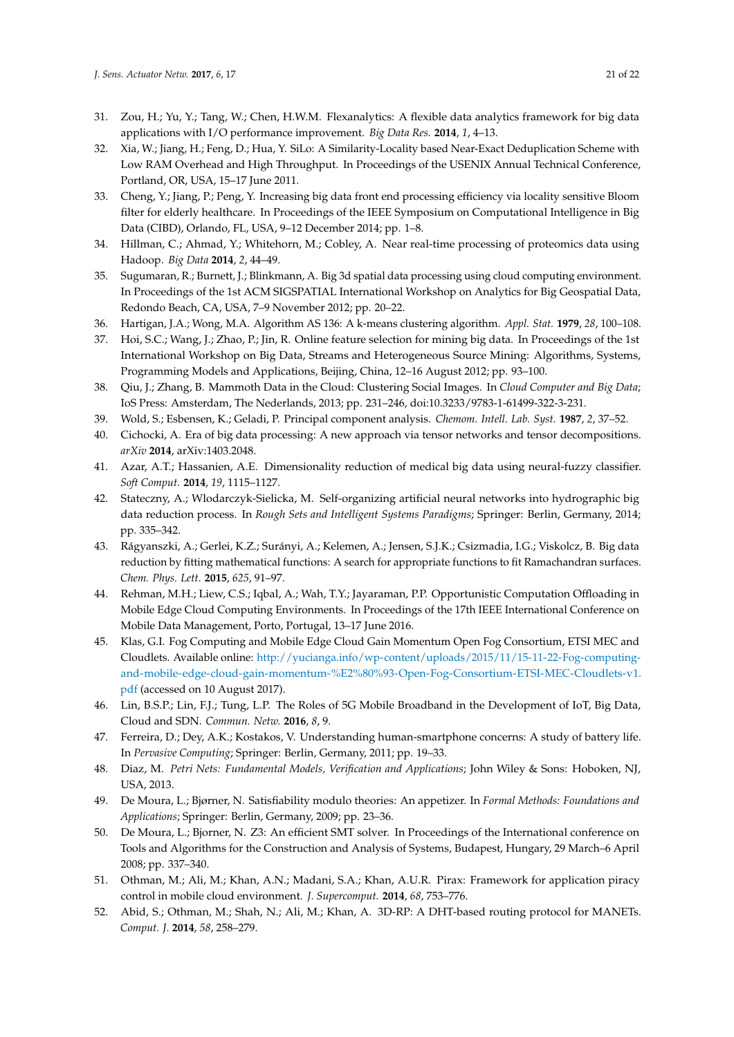- 31. Zou, H.; Yu, Y.; Tang, W.; Chen, H.W.M. Flexanalytics: A flexible data analytics framework for big data applications with I/O performance improvement. *Big Data Res.* **2014**, *1*, 4–13.
- 32. Xia, W.; Jiang, H.; Feng, D.; Hua, Y. SiLo: A Similarity-Locality based Near-Exact Deduplication Scheme with Low RAM Overhead and High Throughput. In Proceedings of the USENIX Annual Technical Conference, Portland, OR, USA, 15–17 June 2011.
- 33. Cheng, Y.; Jiang, P.; Peng, Y. Increasing big data front end processing efficiency via locality sensitive Bloom filter for elderly healthcare. In Proceedings of the IEEE Symposium on Computational Intelligence in Big Data (CIBD), Orlando, FL, USA, 9–12 December 2014; pp. 1–8.
- 34. Hillman, C.; Ahmad, Y.; Whitehorn, M.; Cobley, A. Near real-time processing of proteomics data using Hadoop. *Big Data* **2014**, *2*, 44–49.
- 35. Sugumaran, R.; Burnett, J.; Blinkmann, A. Big 3d spatial data processing using cloud computing environment. In Proceedings of the 1st ACM SIGSPATIAL International Workshop on Analytics for Big Geospatial Data, Redondo Beach, CA, USA, 7–9 November 2012; pp. 20–22.
- 36. Hartigan, J.A.; Wong, M.A. Algorithm AS 136: A k-means clustering algorithm. *Appl. Stat.* **1979**, *28*, 100–108.
- 37. Hoi, S.C.; Wang, J.; Zhao, P.; Jin, R. Online feature selection for mining big data. In Proceedings of the 1st International Workshop on Big Data, Streams and Heterogeneous Source Mining: Algorithms, Systems, Programming Models and Applications, Beijing, China, 12–16 August 2012; pp. 93–100.
- 38. Qiu, J.; Zhang, B. Mammoth Data in the Cloud: Clustering Social Images. In *Cloud Computer and Big Data*; IoS Press: Amsterdam, The Nederlands, 2013; pp. 231–246, doi:10.3233/9783-1-61499-322-3-231.
- 39. Wold, S.; Esbensen, K.; Geladi, P. Principal component analysis. *Chemom. Intell. Lab. Syst.* **1987**, *2*, 37–52.
- 40. Cichocki, A. Era of big data processing: A new approach via tensor networks and tensor decompositions. *arXiv* **2014**, arXiv:1403.2048.
- 41. Azar, A.T.; Hassanien, A.E. Dimensionality reduction of medical big data using neural-fuzzy classifier. *Soft Comput.* **2014**, *19*, 1115–1127.
- 42. Stateczny, A.; Wlodarczyk-Sielicka, M. Self-organizing artificial neural networks into hydrographic big data reduction process. In *Rough Sets and Intelligent Systems Paradigms*; Springer: Berlin, Germany, 2014; pp. 335–342.
- 43. Rágyanszki, A.; Gerlei, K.Z.; Surányi, A.; Kelemen, A.; Jensen, S.J.K.; Csizmadia, I.G.; Viskolcz, B. Big data reduction by fitting mathematical functions: A search for appropriate functions to fit Ramachandran surfaces. *Chem. Phys. Lett.* **2015**, *625*, 91–97.
- 44. Rehman, M.H.; Liew, C.S.; Iqbal, A.; Wah, T.Y.; Jayaraman, P.P. Opportunistic Computation Offloading in Mobile Edge Cloud Computing Environments. In Proceedings of the 17th IEEE International Conference on Mobile Data Management, Porto, Portugal, 13–17 June 2016.
- 45. Klas, G.I. Fog Computing and Mobile Edge Cloud Gain Momentum Open Fog Consortium, ETSI MEC and Cloudlets. Available online: http://yucianga.info/wp-content/uploads/2015/11/15-11-22-Fog-computingand-mobile-edge-cloud-gain-momentum-%E2%80%93-Open-Fog-Consortium-ETSI-MEC-Cloudlets-v1. pdf (accessed on 10 August 2017).
- 46. Lin, B.S.P.; Lin, F.J.; Tung, L.P. The Roles of 5G Mobile Broadband in the Development of IoT, Big Data, Cloud and SDN. *Commun. Netw.* **2016**, *8*, 9.
- 47. Ferreira, D.; Dey, A.K.; Kostakos, V. Understanding human-smartphone concerns: A study of battery life. In *Pervasive Computing*; Springer: Berlin, Germany, 2011; pp. 19–33.
- 48. Diaz, M. *Petri Nets: Fundamental Models, Verification and Applications*; John Wiley & Sons: Hoboken, NJ, USA, 2013.
- 49. De Moura, L.; Bjørner, N. Satisfiability modulo theories: An appetizer. In *Formal Methods: Foundations and Applications*; Springer: Berlin, Germany, 2009; pp. 23–36.
- 50. De Moura, L.; Bjorner, N. Z3: An efficient SMT solver. In Proceedings of the International conference on Tools and Algorithms for the Construction and Analysis of Systems, Budapest, Hungary, 29 March–6 April 2008; pp. 337–340.
- 51. Othman, M.; Ali, M.; Khan, A.N.; Madani, S.A.; Khan, A.U.R. Pirax: Framework for application piracy control in mobile cloud environment. *J. Supercomput.* **2014**, *68*, 753–776.
- 52. Abid, S.; Othman, M.; Shah, N.; Ali, M.; Khan, A. 3D-RP: A DHT-based routing protocol for MANETs. *Comput. J.* **2014**, *58*, 258–279.